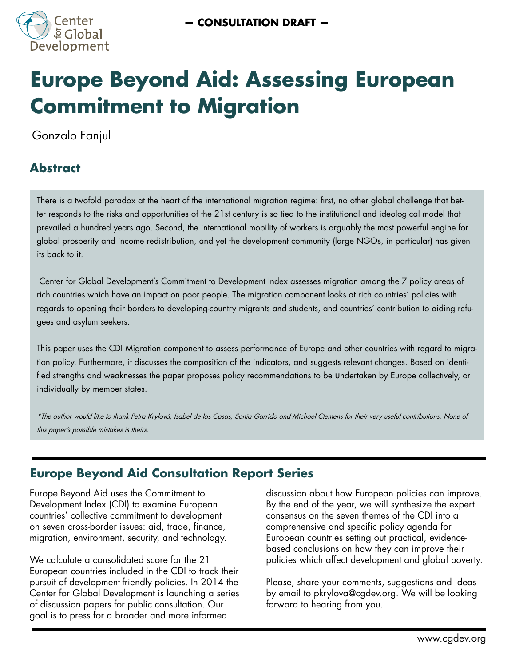

# **Europe Beyond Aid: Assessing European Commitment to Migration**

Gonzalo Fanjul

# **Abstract**

There is a twofold paradox at the heart of the international migration regime: first, no other global challenge that better responds to the risks and opportunities of the 21st century is so tied to the institutional and ideological model that prevailed a hundred years ago. Second, the international mobility of workers is arguably the most powerful engine for global prosperity and income redistribution, and yet the development community (large NGOs, in particular) has given its back to it.

 Center for Global Development's Commitment to Development Index assesses migration among the 7 policy areas of rich countries which have an impact on poor people. The migration component looks at rich countries' policies with regards to opening their borders to developing-country migrants and students, and countries' contribution to aiding refugees and asylum seekers.

This paper uses the CDI Migration component to assess performance of Europe and other countries with regard to migration policy. Furthermore, it discusses the composition of the indicators, and suggests relevant changes. Based on identified strengths and weaknesses the paper proposes policy recommendations to be undertaken by Europe collectively, or individually by member states.

\*The author would like to thank Petra Krylová, Isabel de las Casas, Sonia Garrido and Michael Clemens for their very useful contributions. None of this paper's possible mistakes is theirs.

# **Europe Beyond Aid Consultation Report Series**

Europe Beyond Aid uses the Commitment to Development Index (CDI) to examine European countries' collective commitment to development on seven cross-border issues: aid, trade, finance, migration, environment, security, and technology.

We calculate a consolidated score for the 21 European countries included in the CDI to track their pursuit of development-friendly policies. In 2014 the Center for Global Development is launching a series of discussion papers for public consultation. Our goal is to press for a broader and more informed

discussion about how European policies can improve. By the end of the year, we will synthesize the expert consensus on the seven themes of the CDI into a comprehensive and specific policy agenda for European countries setting out practical, evidencebased conclusions on how they can improve their policies which affect development and global poverty.

Please, share your comments, suggestions and ideas by email to pkrylova@cgdev.org. We will be looking forward to hearing from you.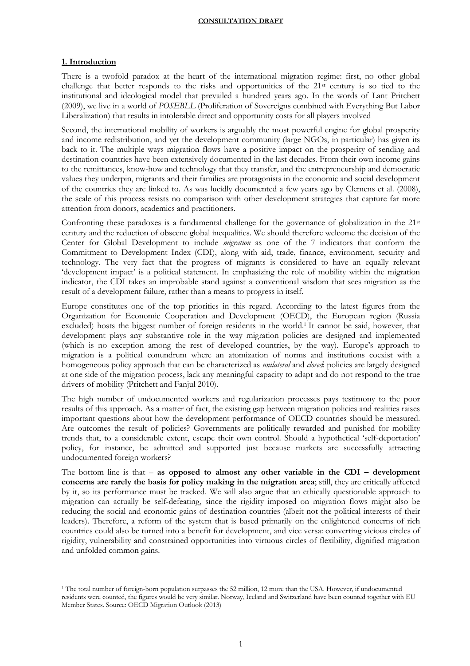# **1. Introduction**

 $\overline{\phantom{a}}$ 

There is a twofold paradox at the heart of the international migration regime: first, no other global challenge that better responds to the risks and opportunities of the  $21<sup>st</sup>$  century is so tied to the institutional and ideological model that prevailed a hundred years ago. In the words of Lant Pritchett (2009), we live in a world of *POSEBLL* (Proliferation of Sovereigns combined with Everything But Labor Liberalization) that results in intolerable direct and opportunity costs for all players involved

Second, the international mobility of workers is arguably the most powerful engine for global prosperity and income redistribution, and yet the development community (large NGOs, in particular) has given its back to it. The multiple ways migration flows have a positive impact on the prosperity of sending and destination countries have been extensively documented in the last decades. From their own income gains to the remittances, know-how and technology that they transfer, and the entrepreneurship and democratic values they underpin, migrants and their families are protagonists in the economic and social development of the countries they are linked to. As was lucidly documented a few years ago by Clemens et al. (2008), the scale of this process resists no comparison with other development strategies that capture far more attention from donors, academics and practitioners.

Confronting these paradoxes is a fundamental challenge for the governance of globalization in the 21st century and the reduction of obscene global inequalities. We should therefore welcome the decision of the Center for Global Development to include *migration* as one of the 7 indicators that conform the Commitment to Development Index (CDI), along with aid, trade, finance, environment, security and technology. The very fact that the progress of migrants is considered to have an equally relevant 'development impact' is a political statement. In emphasizing the role of mobility within the migration indicator, the CDI takes an improbable stand against a conventional wisdom that sees migration as the result of a development failure, rather than a means to progress in itself.

Europe constitutes one of the top priorities in this regard. According to the latest figures from the Organization for Economic Cooperation and Development (OECD), the European region (Russia excluded) hosts the biggest number of foreign residents in the world.<sup>1</sup> It cannot be said, however, that development plays any substantive role in the way migration policies are designed and implemented (which is no exception among the rest of developed countries, by the way). Europe's approach to migration is a political conundrum where an atomization of norms and institutions coexist with a homogeneous policy approach that can be characterized as *unilateral* and *closed*: policies are largely designed at one side of the migration process, lack any meaningful capacity to adapt and do not respond to the true drivers of mobility (Pritchett and Fanjul 2010).

The high number of undocumented workers and regularization processes pays testimony to the poor results of this approach. As a matter of fact, the existing gap between migration policies and realities raises important questions about how the development performance of OECD countries should be measured. Are outcomes the result of policies? Governments are politically rewarded and punished for mobility trends that, to a considerable extent, escape their own control. Should a hypothetical 'self-deportation' policy, for instance, be admitted and supported just because markets are successfully attracting undocumented foreign workers?

The bottom line is that – **as opposed to almost any other variable in the CDI – development concerns are rarely the basis for policy making in the migration area**; still, they are critically affected by it, so its performance must be tracked. We will also argue that an ethically questionable approach to migration can actually be self-defeating, since the rigidity imposed on migration flows might also be reducing the social and economic gains of destination countries (albeit not the political interests of their leaders). Therefore, a reform of the system that is based primarily on the enlightened concerns of rich countries could also be turned into a benefit for development, and vice versa: converting vicious circles of rigidity, vulnerability and constrained opportunities into virtuous circles of flexibility, dignified migration and unfolded common gains.

<sup>1</sup> The total number of foreign-born population surpasses the 52 million, 12 more than the USA. However, if undocumented residents were counted, the figures would be very similar. Norway, Iceland and Switzerland have been counted together with EU Member States. Source: OECD Migration Outlook (2013)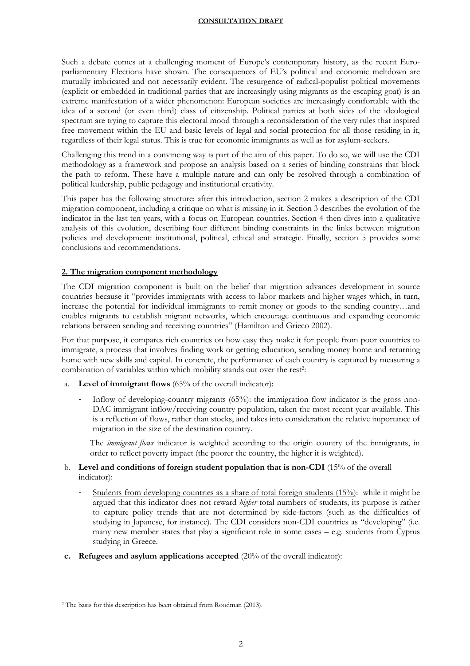Such a debate comes at a challenging moment of Europe's contemporary history, as the recent Europarliamentary Elections have shown. The consequences of EU's political and economic meltdown are mutually imbricated and not necessarily evident. The resurgence of radical-populist political movements (explicit or embedded in traditional parties that are increasingly using migrants as the escaping goat) is an extreme manifestation of a wider phenomenon: European societies are increasingly comfortable with the idea of a second (or even third) class of citizenship. Political parties at both sides of the ideological spectrum are trying to capture this electoral mood through a reconsideration of the very rules that inspired free movement within the EU and basic levels of legal and social protection for all those residing in it, regardless of their legal status. This is true for economic immigrants as well as for asylum-seekers.

Challenging this trend in a convincing way is part of the aim of this paper. To do so, we will use the CDI methodology as a framework and propose an analysis based on a series of binding constrains that block the path to reform. These have a multiple nature and can only be resolved through a combination of political leadership, public pedagogy and institutional creativity.

This paper has the following structure: after this introduction, section 2 makes a description of the CDI migration component, including a critique on what is missing in it. Section 3 describes the evolution of the indicator in the last ten years, with a focus on European countries. Section 4 then dives into a qualitative analysis of this evolution, describing four different binding constraints in the links between migration policies and development: institutional, political, ethical and strategic. Finally, section 5 provides some conclusions and recommendations.

# **2. The migration component methodology**

The CDI migration component is built on the belief that migration advances development in source countries because it "provides immigrants with access to labor markets and higher wages which, in turn, increase the potential for individual immigrants to remit money or goods to the sending country…and enables migrants to establish migrant networks, which encourage continuous and expanding economic relations between sending and receiving countries" (Hamilton and Grieco 2002).

For that purpose, it compares rich countries on how easy they make it for people from poor countries to immigrate, a process that involves finding work or getting education, sending money home and returning home with new skills and capital. In concrete, the performance of each country is captured by measuring a combination of variables within which mobility stands out over the rest<sup>2</sup>:

- a. **Level of immigrant flows** (65% of the overall indicator):
	- Inflow of developing-country migrants (65%): the immigration flow indicator is the gross non-DAC immigrant inflow/receiving country population, taken the most recent year available. This is a reflection of flows, rather than stocks, and takes into consideration the relative importance of migration in the size of the destination country.

The *immigrant flows* indicator is weighted according to the origin country of the immigrants, in order to reflect poverty impact (the poorer the country, the higher it is weighted).

# b. **Level and conditions of foreign student population that is non-CDI** (15% of the overall indicator):

- Students from developing countries as a share of total foreign students (15%): while it might be argued that this indicator does not reward *higher* total numbers of students, its purpose is rather to capture policy trends that are not determined by side-factors (such as the difficulties of studying in Japanese, for instance). The CDI considers non-CDI countries as "developing" (i.e. many new member states that play a significant role in some cases – e.g. students from Cyprus studying in Greece.
- **c. Refugees and asylum applications accepted** (20% of the overall indicator):

 $\overline{\phantom{a}}$ 

<sup>2</sup> The basis for this description has been obtained from Roodman (2013).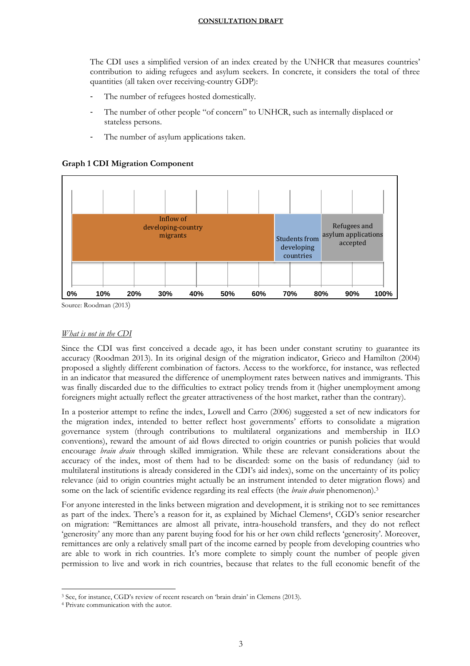The CDI uses a simplified version of an index created by the UNHCR that measures countries' contribution to aiding refugees and asylum seekers. In concrete, it considers the total of three quantities (all taken over receiving-country GDP):

- The number of refugees hosted domestically.
- The number of other people "of concern" to UNHCR, such as internally displaced or stateless persons.
- The number of asylum applications taken.

# **Graph 1 CDI Migration Component**



Source: Roodman (2013)

# *What is not in the CDI*

Since the CDI was first conceived a decade ago, it has been under constant scrutiny to guarantee its accuracy (Roodman 2013). In its original design of the migration indicator, Grieco and Hamilton (2004) proposed a slightly different combination of factors. Access to the workforce, for instance, was reflected in an indicator that measured the difference of unemployment rates between natives and immigrants. This was finally discarded due to the difficulties to extract policy trends from it (higher unemployment among foreigners might actually reflect the greater attractiveness of the host market, rather than the contrary).

In a posterior attempt to refine the index, Lowell and Carro (2006) suggested a set of new indicators for the migration index, intended to better reflect host governments' efforts to consolidate a migration governance system (through contributions to multilateral organizations and membership in ILO conventions), reward the amount of aid flows directed to origin countries or punish policies that would encourage *brain drain* through skilled immigration. While these are relevant considerations about the accuracy of the index, most of them had to be discarded: some on the basis of redundancy (aid to multilateral institutions is already considered in the CDI's aid index), some on the uncertainty of its policy relevance (aid to origin countries might actually be an instrument intended to deter migration flows) and some on the lack of scientific evidence regarding its real effects (the *brain drain* phenomenon).<sup>3</sup>

For anyone interested in the links between migration and development, it is striking not to see remittances as part of the index. There's a reason for it, as explained by Michael Clemens<sup>4</sup>, CGD's senior researcher on migration: "Remittances are almost all private, intra-household transfers, and they do not reflect 'generosity' any more than any parent buying food for his or her own child reflects 'generosity'. Moreover, remittances are only a relatively small part of the income earned by people from developing countries who are able to work in rich countries. It's more complete to simply count the number of people given permission to live and work in rich countries, because that relates to the full economic benefit of the

 $\overline{\phantom{a}}$ <sup>3</sup> See, for instance, CGD's review of recent research on 'brain drain' in Clemens (2013).

<sup>4</sup> Private communication with the autor.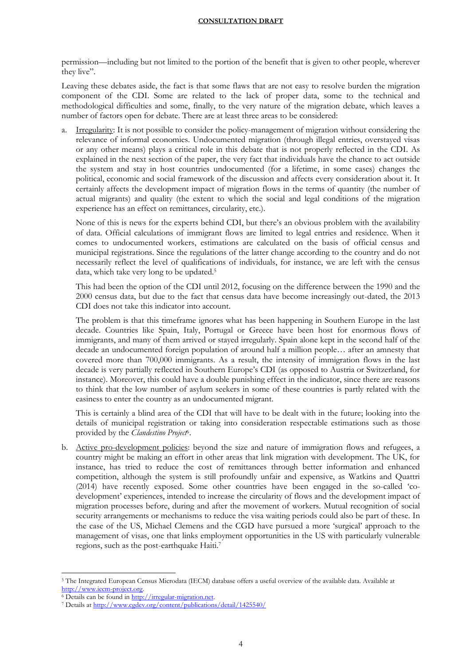permission—including but not limited to the portion of the benefit that is given to other people, wherever they live".

Leaving these debates aside, the fact is that some flaws that are not easy to resolve burden the migration component of the CDI. Some are related to the lack of proper data, some to the technical and methodological difficulties and some, finally, to the very nature of the migration debate, which leaves a number of factors open for debate. There are at least three areas to be considered:

Irregularity: It is not possible to consider the policy-management of migration without considering the relevance of informal economies. Undocumented migration (through illegal entries, overstayed visas or any other means) plays a critical role in this debate that is not properly reflected in the CDI. As explained in the next section of the paper, the very fact that individuals have the chance to act outside the system and stay in host countries undocumented (for a lifetime, in some cases) changes the political, economic and social framework of the discussion and affects every consideration about it. It certainly affects the development impact of migration flows in the terms of quantity (the number of actual migrants) and quality (the extent to which the social and legal conditions of the migration experience has an effect on remittances, circularity, etc.).

None of this is news for the experts behind CDI, but there's an obvious problem with the availability of data. Official calculations of immigrant flows are limited to legal entries and residence. When it comes to undocumented workers, estimations are calculated on the basis of official census and municipal registrations. Since the regulations of the latter change according to the country and do not necessarily reflect the level of qualifications of individuals, for instance, we are left with the census data, which take very long to be updated.<sup>5</sup>

This had been the option of the CDI until 2012, focusing on the difference between the 1990 and the 2000 census data, but due to the fact that census data have become increasingly out-dated, the 2013 CDI does not take this indicator into account.

The problem is that this timeframe ignores what has been happening in Southern Europe in the last decade. Countries like Spain, Italy, Portugal or Greece have been host for enormous flows of immigrants, and many of them arrived or stayed irregularly. Spain alone kept in the second half of the decade an undocumented foreign population of around half a million people… after an amnesty that covered more than 700,000 immigrants. As a result, the intensity of immigration flows in the last decade is very partially reflected in Southern Europe's CDI (as opposed to Austria or Switzerland, for instance). Moreover, this could have a double punishing effect in the indicator, since there are reasons to think that the low number of asylum seekers in some of these countries is partly related with the easiness to enter the country as an undocumented migrant.

This is certainly a blind area of the CDI that will have to be dealt with in the future; looking into the details of municipal registration or taking into consideration respectable estimations such as those provided by the *Clandestino Project*<sup>6</sup>.

b. Active pro-development policies: beyond the size and nature of immigration flows and refugees, a country might be making an effort in other areas that link migration with development. The UK, for instance, has tried to reduce the cost of remittances through better information and enhanced competition, although the system is still profoundly unfair and expensive, as Watkins and Quattri (2014) have recently exposed. Some other countries have been engaged in the so-called 'codevelopment' experiences, intended to increase the circularity of flows and the development impact of migration processes before, during and after the movement of workers. Mutual recognition of social security arrangements or mechanisms to reduce the visa waiting periods could also be part of these. In the case of the US, Michael Clemens and the CGD have pursued a more 'surgical' approach to the management of visas, one that links employment opportunities in the US with particularly vulnerable regions, such as the post-earthquake Haiti.<sup>7</sup>

 $\overline{a}$ <sup>5</sup> The Integrated European Census Microdata (IECM) database offers a useful overview of the available data. Available at [http://www.iecm-project.org.](http://www.iecm-project.org/) 

<sup>6</sup> Details can be found i[n http://irregular-migration.net.](http://irregular-migration.net/) 

<sup>7</sup> Details at<http://www.cgdev.org/content/publications/detail/1425540/>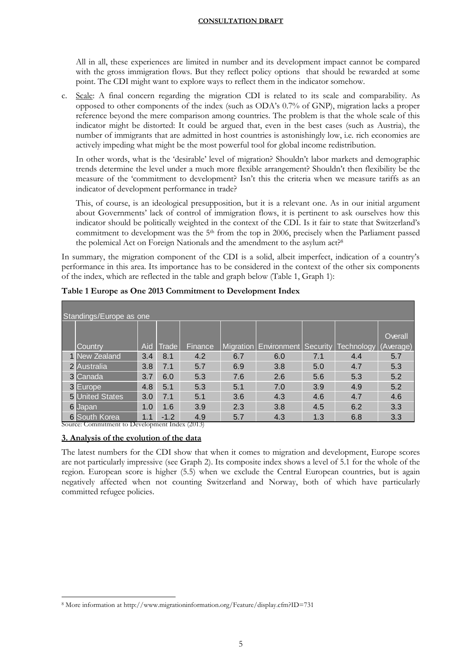All in all, these experiences are limited in number and its development impact cannot be compared with the gross immigration flows. But they reflect policy options that should be rewarded at some point. The CDI might want to explore ways to reflect them in the indicator somehow.

c. Scale: A final concern regarding the migration CDI is related to its scale and comparability. As opposed to other components of the index (such as ODA's 0.7% of GNP), migration lacks a proper reference beyond the mere comparison among countries. The problem is that the whole scale of this indicator might be distorted: It could be argued that, even in the best cases (such as Austria), the number of immigrants that are admitted in host countries is astonishingly low, i.e. rich economies are actively impeding what might be the most powerful tool for global income redistribution.

In other words, what is the 'desirable' level of migration? Shouldn't labor markets and demographic trends determine the level under a much more flexible arrangement? Shouldn't then flexibility be the measure of the 'commitment to development? Isn't this the criteria when we measure tariffs as an indicator of development performance in trade?

This, of course, is an ideological presupposition, but it is a relevant one. As in our initial argument about Governments' lack of control of immigration flows, it is pertinent to ask ourselves how this indicator should be politically weighted in the context of the CDI. Is it fair to state that Switzerland's commitment to development was the  $5<sup>th</sup>$  from the top in 2006, precisely when the Parliament passed the polemical Act on Foreign Nationals and the amendment to the asylum act?<sup>8</sup>

In summary, the migration component of the CDI is a solid, albeit imperfect, indication of a country's performance in this area. Its importance has to be considered in the context of the other six components of the index, which are reflected in the table and graph below (Table 1, Graph 1):

| Standings/Europe as one |     |        |         |     |                                    |     |                   |                |  |
|-------------------------|-----|--------|---------|-----|------------------------------------|-----|-------------------|----------------|--|
|                         |     |        |         |     |                                    |     |                   |                |  |
|                         |     |        |         |     |                                    |     |                   | <b>Overall</b> |  |
| Country                 | Aid | Trade  | Finance |     | Migration   Environment   Security |     | <b>Technology</b> | (Average)      |  |
| 1 New Zealand           | 3.4 | 8.1    | 4.2     | 6.7 | 6.0                                | 7.1 | 4.4               | 5.7            |  |
| 2 Australia             | 3.8 | 7.1    | 5.7     | 6.9 | 3.8                                | 5.0 | 4.7               | 5.3            |  |
| 3 Canada                | 3.7 | 6.0    | 5.3     | 7.6 | 2.6                                | 5.6 | 5.3               | 5.2            |  |
| 3 Europe                | 4.8 | 5.1    | 5.3     | 5.1 | 7.0                                | 3.9 | 4.9               | 5.2            |  |
| <b>5</b> United States  | 3.0 | 7.1    | 5.1     | 3.6 | 4.3                                | 4.6 | 4.7               | 4.6            |  |
| 6 Japan                 | 1.0 | 1.6    | 3.9     | 2.3 | 3.8                                | 4.5 | 6.2               | 3.3            |  |
| <b>6</b> South Korea    | 1.1 | $-1.2$ | 4.9     | 5.7 | 4.3                                | 1.3 | 6.8               | 3.3            |  |

**Table 1 Europe as One 2013 Commitment to Development Index**

Source: Commitment to Development Index (2013)

# **3. Analysis of the evolution of the data**

 $\overline{a}$ 

The latest numbers for the CDI show that when it comes to migration and development, Europe scores are not particularly impressive (see Graph 2). Its composite index shows a level of 5.1 for the whole of the region. European score is higher (5.5) when we exclude the Central European countries, but is again negatively affected when not counting Switzerland and Norway, both of which have particularly committed refugee policies.

<sup>8</sup> More information at http://www.migrationinformation.org/Feature/display.cfm?ID=731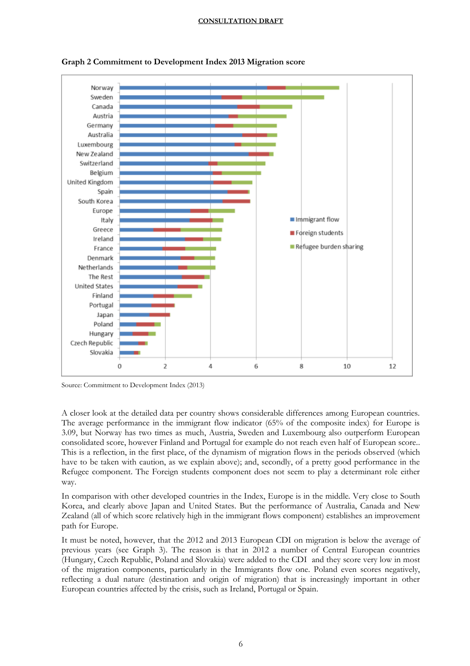

**Graph 2 Commitment to Development Index 2013 Migration score**

A closer look at the detailed data per country shows considerable differences among European countries. The average performance in the immigrant flow indicator (65% of the composite index) for Europe is 3.09, but Norway has two times as much, Austria, Sweden and Luxembourg also outperform European consolidated score, however Finland and Portugal for example do not reach even half of European score.. This is a reflection, in the first place, of the dynamism of migration flows in the periods observed (which have to be taken with caution, as we explain above); and, secondly, of a pretty good performance in the Refugee component. The Foreign students component does not seem to play a determinant role either way.

In comparison with other developed countries in the Index, Europe is in the middle. Very close to South Korea, and clearly above Japan and United States. But the performance of Australia, Canada and New Zealand (all of which score relatively high in the immigrant flows component) establishes an improvement path for Europe.

It must be noted, however, that the 2012 and 2013 European CDI on migration is below the average of previous years (see Graph 3). The reason is that in 2012 a number of Central European countries (Hungary, Czech Republic, Poland and Slovakia) were added to the CDI and they score very low in most of the migration components, particularly in the Immigrants flow one. Poland even scores negatively, reflecting a dual nature (destination and origin of migration) that is increasingly important in other European countries affected by the crisis, such as Ireland, Portugal or Spain.

Source: Commitment to Development Index (2013)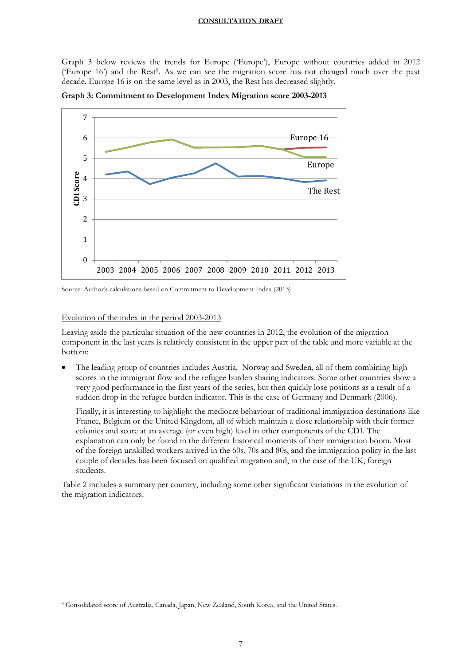Graph 3 below reviews the trends for Europe ('Europe'), Europe without countries added in 2012 ('Europe 16') and the Rest<sup>9</sup> . As we can see the migration score has not changed much over the past decade. Europe 16 is on the same level as in 2003, the Rest has decreased slightly.



**Graph 3: Commitment to Development Index Migration score 2003-2013**

Source: Author's calculations based on Commitment to Development Index (2013)

#### Evolution of the index in the period 2003-2013

 $\overline{a}$ 

Leaving aside the particular situation of the new countries in 2012, the evolution of the migration component in the last years is relatively consistent in the upper part of the table and more variable at the bottom:

 The leading group of countries includes Austria, Norway and Sweden, all of them combining high scores in the immigrant flow and the refugee burden sharing indicators. Some other countries show a very good performance in the first years of the series, but then quickly lose positions as a result of a sudden drop in the refugee burden indicator. This is the case of Germany and Denmark (2006).

Finally, it is interesting to highlight the mediocre behaviour of traditional immigration destinations like France, Belgium or the United Kingdom, all of which maintain a close relationship with their former colonies and score at an average (or even high) level in other components of the CDI. The explanation can only be found in the different historical moments of their immigration boom. Most of the foreign unskilled workers arrived in the 60s, 70s and 80s, and the immigration policy in the last couple of decades has been focused on qualified migration and, in the case of the UK, foreign students.

Table 2 includes a summary per country, including some other significant variations in the evolution of the migration indicators.

<sup>9</sup> Consolidated score of Australia, Canada, Japan, New Zealand, South Korea, and the United States.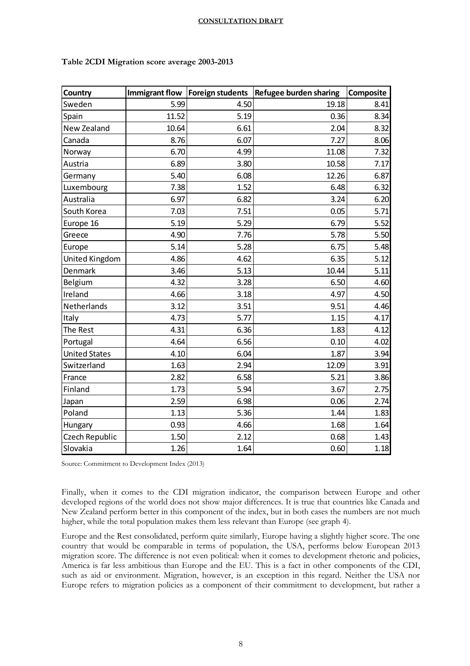| Country              |       |      | Immigrant flow   Foreign students   Refugee burden sharing | <b>Composite</b> |
|----------------------|-------|------|------------------------------------------------------------|------------------|
| Sweden               | 5.99  | 4.50 | 19.18                                                      | 8.41             |
| Spain                | 11.52 | 5.19 | 0.36                                                       | 8.34             |
| New Zealand          | 10.64 | 6.61 | 2.04                                                       | 8.32             |
| Canada               | 8.76  | 6.07 | 7.27                                                       | 8.06             |
| Norway               | 6.70  | 4.99 | 11.08                                                      | 7.32             |
| Austria              | 6.89  | 3.80 | 10.58                                                      | 7.17             |
| Germany              | 5.40  | 6.08 | 12.26                                                      | 6.87             |
| Luxembourg           | 7.38  | 1.52 | 6.48                                                       | 6.32             |
| Australia            | 6.97  | 6.82 | 3.24                                                       | 6.20             |
| South Korea          | 7.03  | 7.51 | 0.05                                                       | 5.71             |
| Europe 16            | 5.19  | 5.29 | 6.79                                                       | 5.52             |
| Greece               | 4.90  | 7.76 | 5.78                                                       | 5.50             |
| Europe               | 5.14  | 5.28 | 6.75                                                       | 5.48             |
| United Kingdom       | 4.86  | 4.62 | 6.35                                                       | 5.12             |
| Denmark              | 3.46  | 5.13 | 10.44                                                      | 5.11             |
| Belgium              | 4.32  | 3.28 | 6.50                                                       | 4.60             |
| Ireland              | 4.66  | 3.18 | 4.97                                                       | 4.50             |
| Netherlands          | 3.12  | 3.51 | 9.51                                                       | 4.46             |
| Italy                | 4.73  | 5.77 | 1.15                                                       | 4.17             |
| The Rest             | 4.31  | 6.36 | 1.83                                                       | 4.12             |
| Portugal             | 4.64  | 6.56 | 0.10                                                       | 4.02             |
| <b>United States</b> | 4.10  | 6.04 | 1.87                                                       | 3.94             |
| Switzerland          | 1.63  | 2.94 | 12.09                                                      | 3.91             |
| France               | 2.82  | 6.58 | 5.21                                                       | 3.86             |
| Finland              | 1.73  | 5.94 | 3.67                                                       | 2.75             |
| Japan                | 2.59  | 6.98 | 0.06                                                       | 2.74             |
| Poland               | 1.13  | 5.36 | 1.44                                                       | 1.83             |
| Hungary              | 0.93  | 4.66 | 1.68                                                       | 1.64             |
| Czech Republic       | 1.50  | 2.12 | 0.68                                                       | 1.43             |
| Slovakia             | 1.26  | 1.64 | 0.60                                                       | 1.18             |

#### **Table 2CDI Migration score average 2003-2013**

Source: Commitment to Development Index (2013)

Finally, when it comes to the CDI migration indicator, the comparison between Europe and other developed regions of the world does not show major differences. It is true that countries like Canada and New Zealand perform better in this component of the index, but in both cases the numbers are not much higher, while the total population makes them less relevant than Europe (see graph 4).

Europe and the Rest consolidated, perform quite similarly, Europe having a slightly higher score. The one country that would be comparable in terms of population, the USA, performs below European 2013 migration score. The difference is not even political: when it comes to development rhetoric and policies, America is far less ambitious than Europe and the EU. This is a fact in other components of the CDI, such as aid or environment. Migration, however, is an exception in this regard. Neither the USA nor Europe refers to migration policies as a component of their commitment to development, but rather a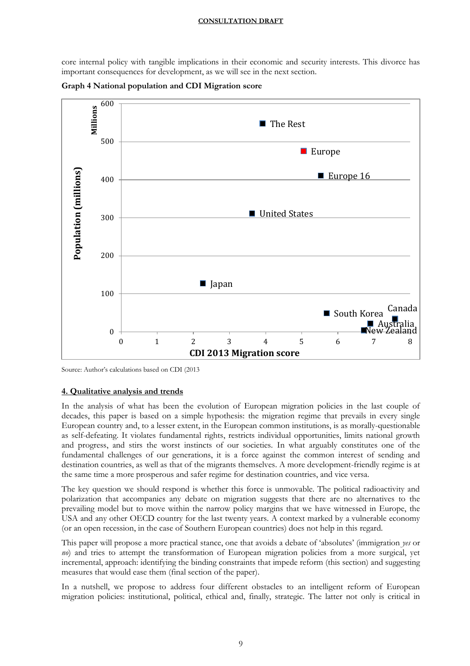core internal policy with tangible implications in their economic and security interests. This divorce has important consequences for development, as we will see in the next section.



**Graph 4 National population and CDI Migration score**

# **4. Qualitative analysis and trends**

In the analysis of what has been the evolution of European migration policies in the last couple of decades, this paper is based on a simple hypothesis: the migration regime that prevails in every single European country and, to a lesser extent, in the European common institutions, is as morally-questionable as self-defeating. It violates fundamental rights, restricts individual opportunities, limits national growth and progress, and stirs the worst instincts of our societies. In what arguably constitutes one of the fundamental challenges of our generations, it is a force against the common interest of sending and destination countries, as well as that of the migrants themselves. A more development-friendly regime is at the same time a more prosperous and safer regime for destination countries, and vice versa.

The key question we should respond is whether this force is unmovable. The political radioactivity and polarization that accompanies any debate on migration suggests that there are no alternatives to the prevailing model but to move within the narrow policy margins that we have witnessed in Europe, the USA and any other OECD country for the last twenty years. A context marked by a vulnerable economy (or an open recession, in the case of Southern European countries) does not help in this regard.

This paper will propose a more practical stance, one that avoids a debate of 'absolutes' (immigration *yes* or *no*) and tries to attempt the transformation of European migration policies from a more surgical, yet incremental, approach: identifying the binding constraints that impede reform (this section) and suggesting measures that would ease them (final section of the paper).

In a nutshell, we propose to address four different obstacles to an intelligent reform of European migration policies: institutional, political, ethical and, finally, strategic. The latter not only is critical in

Source: Author's calculations based on CDI (2013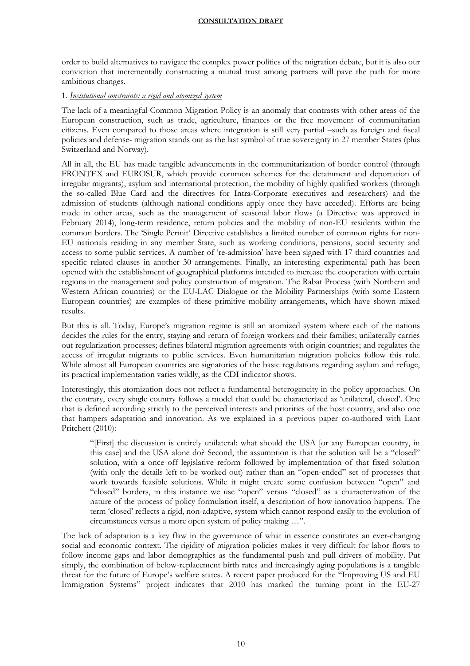order to build alternatives to navigate the complex power politics of the migration debate, but it is also our conviction that incrementally constructing a mutual trust among partners will pave the path for more ambitious changes.

# 1. *Institutional constraints: a rigid and atomized system*

The lack of a meaningful Common Migration Policy is an anomaly that contrasts with other areas of the European construction, such as trade, agriculture, finances or the free movement of communitarian citizens. Even compared to those areas where integration is still very partial –such as foreign and fiscal policies and defense- migration stands out as the last symbol of true sovereignty in 27 member States (plus Switzerland and Norway).

All in all, the EU has made tangible advancements in the communitarization of border control (through FRONTEX and EUROSUR, which provide common schemes for the detainment and deportation of irregular migrants), asylum and international protection, the mobility of highly qualified workers (through the so-called Blue Card and the directives for Intra-Corporate executives and researchers) and the admission of students (although national conditions apply once they have acceded). Efforts are being made in other areas, such as the management of seasonal labor flows (a Directive was approved in February 2014), long-term residence, return policies and the mobility of non-EU residents within the common borders. The 'Single Permit' Directive establishes a limited number of common rights for non-EU nationals residing in any member State, such as working conditions, pensions, social security and access to some public services. A number of 're-admission' have been signed with 17 third countries and specific related clauses in another 30 arrangements. Finally, an interesting experimental path has been opened with the establishment of geographical platforms intended to increase the cooperation with certain regions in the management and policy construction of migration. The Rabat Process (with Northern and Western African countries) or the EU-LAC Dialogue or the Mobility Partnerships (with some Eastern European countries) are examples of these primitive mobility arrangements, which have shown mixed results.

But this is all. Today, Europe's migration regime is still an atomized system where each of the nations decides the rules for the entry, staying and return of foreign workers and their families; unilaterally carries out regularization processes; defines bilateral migration agreements with origin countries; and regulates the access of irregular migrants to public services. Even humanitarian migration policies follow this rule. While almost all European countries are signatories of the basic regulations regarding asylum and refuge, its practical implementation varies wildly, as the CDI indicator shows.

Interestingly, this atomization does not reflect a fundamental heterogeneity in the policy approaches. On the contrary, every single country follows a model that could be characterized as 'unilateral, closed'. One that is defined according strictly to the perceived interests and priorities of the host country, and also one that hampers adaptation and innovation. As we explained in a previous paper co-authored with Lant Pritchett (2010):

"[First] the discussion is entirely unilateral: what should the USA [or any European country, in this case] and the USA alone do? Second, the assumption is that the solution will be a "closed" solution, with a once off legislative reform followed by implementation of that fixed solution (with only the details left to be worked out) rather than an "open-ended" set of processes that work towards feasible solutions. While it might create some confusion between "open" and "closed" borders, in this instance we use "open" versus "closed" as a characterization of the nature of the process of policy formulation itself, a description of how innovation happens. The term 'closed' reflects a rigid, non-adaptive, system which cannot respond easily to the evolution of circumstances versus a more open system of policy making …".

The lack of adaptation is a key flaw in the governance of what in essence constitutes an ever-changing social and economic context. The rigidity of migration policies makes it very difficult for labor flows to follow income gaps and labor demographics as the fundamental push and pull drivers of mobility. Put simply, the combination of below-replacement birth rates and increasingly aging populations is a tangible threat for the future of Europe's welfare states. A recent paper produced for the "Improving US and EU Immigration Systems" project indicates that 2010 has marked the turning point in the EU-27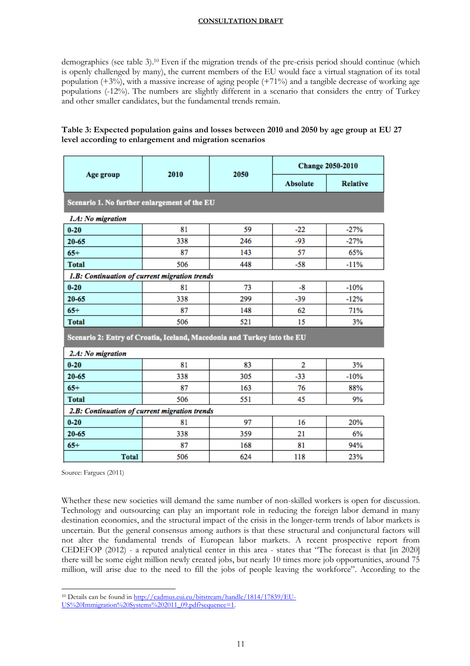demographics (see table 3).<sup>10</sup> Even if the migration trends of the pre-crisis period should continue (which is openly challenged by many), the current members of the EU would face a virtual stagnation of its total population (+3%), with a massive increase of aging people (+71%) and a tangible decrease of working age populations (-12%). The numbers are slightly different in a scenario that considers the entry of Turkey and other smaller candidates, but the fundamental trends remain.

# **Table 3: Expected population gains and losses between 2010 and 2050 by age group at EU 27 level according to enlargement and migration scenarios**

|                                                                         |      |      | Change 2050-2010 |                 |  |  |  |  |
|-------------------------------------------------------------------------|------|------|------------------|-----------------|--|--|--|--|
| Age group                                                               | 2010 | 2050 | <b>Absolute</b>  | <b>Relative</b> |  |  |  |  |
| Scenario 1. No further enlargement of the EU                            |      |      |                  |                 |  |  |  |  |
| 1.A: No migration                                                       |      |      |                  |                 |  |  |  |  |
| $0 - 20$                                                                | 81   | 59   | $-22$            | $-27%$          |  |  |  |  |
| $20 - 65$                                                               | 338  | 246  | -93              | $-27%$          |  |  |  |  |
| $65+$                                                                   | 87   | 143  | 57               | 65%             |  |  |  |  |
| <b>Total</b>                                                            | 506  | 448  | $-58$            | $-11%$          |  |  |  |  |
| 1.B: Continuation of current migration trends                           |      |      |                  |                 |  |  |  |  |
| $0 - 20$                                                                | 81   | 73   | -8               | $-10%$          |  |  |  |  |
| $20 - 65$                                                               | 338  | 299  | $-39$            | $-12%$          |  |  |  |  |
| $65+$                                                                   | 87   | 148  | 62               | 71%             |  |  |  |  |
| <b>Total</b>                                                            | 506  | 521  | 15               | 3%              |  |  |  |  |
| Scenario 2: Entry of Croatia, Iceland, Macedonia and Turkey into the EU |      |      |                  |                 |  |  |  |  |
| 2.A: No migration                                                       |      |      |                  |                 |  |  |  |  |
| $0 - 20$                                                                | 81   | 83   | 2                | 3%              |  |  |  |  |
| 20-65                                                                   | 338  | 305  | $-33$            | $-10%$          |  |  |  |  |
| $65+$                                                                   | 87   | 163  | 76               | 88%             |  |  |  |  |
| <b>Total</b>                                                            | 506  | 551  | 45               | 9%              |  |  |  |  |
| 2.B: Continuation of current migration trends                           |      |      |                  |                 |  |  |  |  |
| $0 - 20$                                                                | 81   | 97   | 16               | 20%             |  |  |  |  |
| $20 - 65$                                                               | 338  | 359  | 21               | 6%              |  |  |  |  |
| $65+$                                                                   | 87   | 168  | 81               | 94%             |  |  |  |  |
| <b>Total</b>                                                            | 506  | 624  | 118              | 23%             |  |  |  |  |

Source: Fargues (2011)

Whether these new societies will demand the same number of non-skilled workers is open for discussion. Technology and outsourcing can play an important role in reducing the foreign labor demand in many destination economies, and the structural impact of the crisis in the longer-term trends of labor markets is uncertain. But the general consensus among authors is that these structural and conjunctural factors will not alter the fundamental trends of European labor markets. A recent prospective report from CEDEFOP (2012) - a reputed analytical center in this area - states that "The forecast is that [in 2020] there will be some eight million newly created jobs, but nearly 10 times more job opportunities, around 75 million, will arise due to the need to fill the jobs of people leaving the workforce". According to the

 $\overline{a}$ <sup>10</sup> Details can be found i[n http://cadmus.eui.eu/bitstream/handle/1814/17839/EU-](http://cadmus.eui.eu/bitstream/handle/1814/17839/EU-US%20Immigration%20Systems%202011_09.pdf?sequence=1)

[US%20Immigration%20Systems%202011\\_09.pdf?sequence=1.](http://cadmus.eui.eu/bitstream/handle/1814/17839/EU-US%20Immigration%20Systems%202011_09.pdf?sequence=1)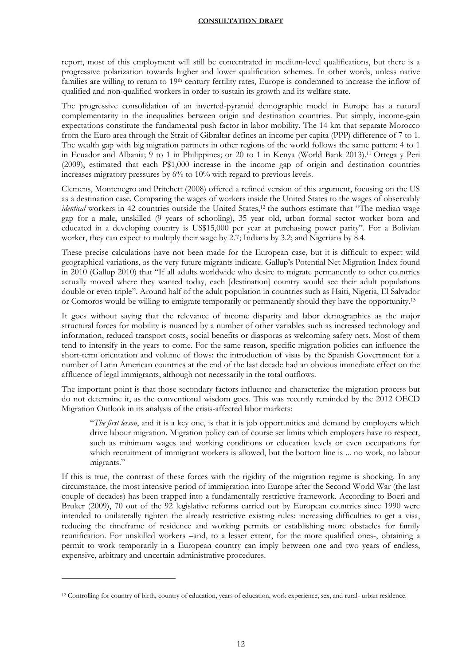report, most of this employment will still be concentrated in medium-level qualifications, but there is a progressive polarization towards higher and lower qualification schemes. In other words, unless native families are willing to return to 19<sup>th</sup> century fertility rates, Europe is condemned to increase the inflow of qualified and non-qualified workers in order to sustain its growth and its welfare state.

The progressive consolidation of an inverted-pyramid demographic model in Europe has a natural complementarity in the inequalities between origin and destination countries. Put simply, income-gain expectations constitute the fundamental push factor in labor mobility. The 14 km that separate Morocco from the Euro area through the Strait of Gibraltar defines an income per capita (PPP) difference of 7 to 1. The wealth gap with big migration partners in other regions of the world follows the same pattern: 4 to 1 in Ecuador and Albania; 9 to 1 in Philippines; or 20 to 1 in Kenya (World Bank 2013). <sup>11</sup> Ortega y Peri (2009), estimated that each P\$1,000 increase in the income gap of origin and destination countries increases migratory pressures by 6% to 10% with regard to previous levels.

Clemens, Montenegro and Pritchett (2008) offered a refined version of this argument, focusing on the US as a destination case. Comparing the wages of workers inside the United States to the wages of observably *identical* workers in 42 countries outside the United States,<sup>12</sup> the authors estimate that "The median wage gap for a male, unskilled (9 years of schooling), 35 year old, urban formal sector worker born and educated in a developing country is US\$15,000 per year at purchasing power parity". For a Bolivian worker, they can expect to multiply their wage by 2.7; Indians by 3.2; and Nigerians by 8.4.

These precise calculations have not been made for the European case, but it is difficult to expect wild geographical variations, as the very future migrants indicate. Gallup's Potential Net Migration Index found in 2010 (Gallup 2010) that "If all adults worldwide who desire to migrate permanently to other countries actually moved where they wanted today, each [destination] country would see their adult populations double or even triple". Around half of the adult population in countries such as Haiti, Nigeria, El Salvador or Comoros would be willing to emigrate temporarily or permanently should they have the opportunity.<sup>13</sup>

It goes without saying that the relevance of income disparity and labor demographics as the major structural forces for mobility is nuanced by a number of other variables such as increased technology and information, reduced transport costs, social benefits or diasporas as welcoming safety nets. Most of them tend to intensify in the years to come. For the same reason, specific migration policies can influence the short-term orientation and volume of flows: the introduction of visas by the Spanish Government for a number of Latin American countries at the end of the last decade had an obvious immediate effect on the affluence of legal immigrants, although not necessarily in the total outflows.

The important point is that those secondary factors influence and characterize the migration process but do not determine it, as the conventional wisdom goes. This was recently reminded by the 2012 OECD Migration Outlook in its analysis of the crisis-affected labor markets:

"*The first lesson*, and it is a key one, is that it is job opportunities and demand by employers which drive labour migration. Migration policy can of course set limits which employers have to respect, such as minimum wages and working conditions or education levels or even occupations for which recruitment of immigrant workers is allowed, but the bottom line is ... no work, no labour migrants."

If this is true, the contrast of these forces with the rigidity of the migration regime is shocking. In any circumstance, the most intensive period of immigration into Europe after the Second World War (the last couple of decades) has been trapped into a fundamentally restrictive framework. According to Boeri and Bruker (2009), 70 out of the 92 legislative reforms carried out by European countries since 1990 were intended to unilaterally tighten the already restrictive existing rules: increasing difficulties to get a visa, reducing the timeframe of residence and working permits or establishing more obstacles for family reunification. For unskilled workers –and, to a lesser extent, for the more qualified ones-, obtaining a permit to work temporarily in a European country can imply between one and two years of endless, expensive, arbitrary and uncertain administrative procedures.

<sup>12</sup> Controlling for country of birth, country of education, years of education, work experience, sex, and rural- urban residence.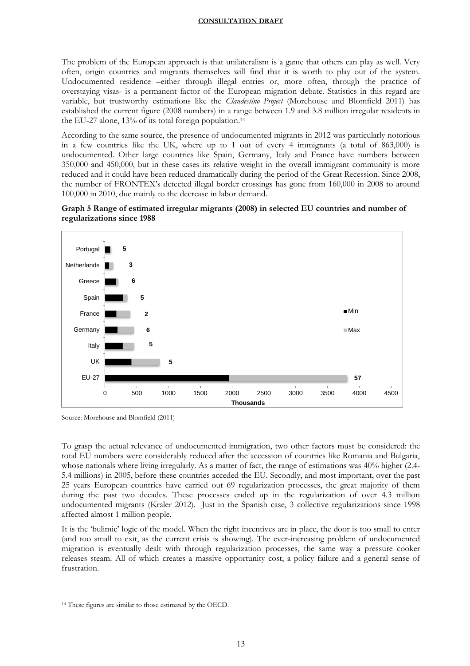The problem of the European approach is that unilateralism is a game that others can play as well. Very often, origin countries and migrants themselves will find that it is worth to play out of the system. Undocumented residence –either through illegal entries or, more often, through the practice of overstaying visas- is a permanent factor of the European migration debate. Statistics in this regard are variable, but trustworthy estimations like the *Clandestino Project* (Morehouse and Blomfield 2011) has established the current figure (2008 numbers) in a range between 1.9 and 3.8 million irregular residents in the EU-27 alone, 13% of its total foreign population. 14

According to the same source, the presence of undocumented migrants in 2012 was particularly notorious in a few countries like the UK, where up to 1 out of every 4 immigrants (a total of 863,000) is undocumented. Other large countries like Spain, Germany, Italy and France have numbers between 350,000 and 450,000, but in these cases its relative weight in the overall immigrant community is more reduced and it could have been reduced dramatically during the period of the Great Recession. Since 2008, the number of FRONTEX's detected illegal border crossings has gone from 160,000 in 2008 to around 100,000 in 2010, due mainly to the decrease in labor demand.





Source: Morehouse and Blomfield (2011)

To grasp the actual relevance of undocumented immigration, two other factors must be considered: the total EU numbers were considerably reduced after the accession of countries like Romania and Bulgaria, whose nationals where living irregularly. As a matter of fact, the range of estimations was 40% higher (2.4- 5.4 millions) in 2005, before these countries acceded the EU. Secondly, and most important, over the past 25 years European countries have carried out 69 regularization processes, the great majority of them during the past two decades. These processes ended up in the regularization of over 4.3 million undocumented migrants (Kraler 2012). Just in the Spanish case, 3 collective regularizations since 1998 affected almost 1 million people.

It is the 'bulimic' logic of the model. When the right incentives are in place, the door is too small to enter (and too small to exit, as the current crisis is showing). The ever-increasing problem of undocumented migration is eventually dealt with through regularization processes, the same way a pressure cooker releases steam. All of which creates a massive opportunity cost, a policy failure and a general sense of frustration.

<sup>14</sup> These figures are similar to those estimated by the OECD.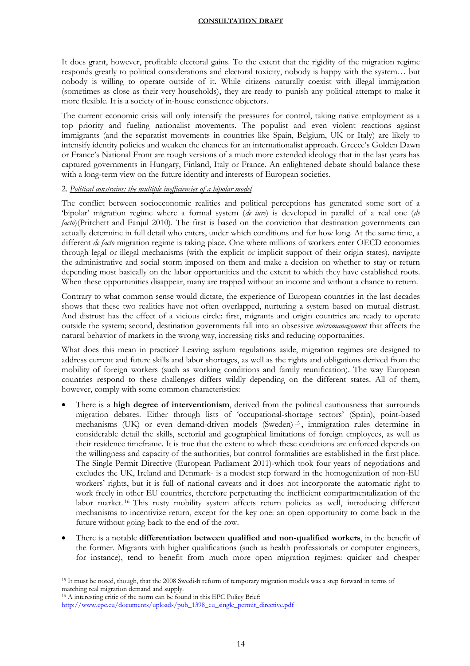It does grant, however, profitable electoral gains. To the extent that the rigidity of the migration regime responds greatly to political considerations and electoral toxicity, nobody is happy with the system… but nobody is willing to operate outside of it. While citizens naturally coexist with illegal immigration (sometimes as close as their very households), they are ready to punish any political attempt to make it more flexible. It is a society of in-house conscience objectors.

The current economic crisis will only intensify the pressures for control, taking native employment as a top priority and fueling nationalist movements. The populist and even violent reactions against immigrants (and the separatist movements in countries like Spain, Belgium, UK or Italy) are likely to intensify identity policies and weaken the chances for an internationalist approach. Greece's Golden Dawn or France's National Front are rough versions of a much more extended ideology that in the last years has captured governments in Hungary, Finland, Italy or France. An enlightened debate should balance these with a long-term view on the future identity and interests of European societies.

# 2. *Political constrains: the multiple inefficiencies of a bipolar model*

The conflict between socioeconomic realities and political perceptions has generated some sort of a 'bipolar' migration regime where a formal system (*de iure*) is developed in parallel of a real one (*de facto*)(Pritchett and Fanjul 2010). The first is based on the conviction that destination governments can actually determine in full detail who enters, under which conditions and for how long. At the same time, a different *de facto* migration regime is taking place. One where millions of workers enter OECD economies through legal or illegal mechanisms (with the explicit or implicit support of their origin states), navigate the administrative and social storm imposed on them and make a decision on whether to stay or return depending most basically on the labor opportunities and the extent to which they have established roots. When these opportunities disappear, many are trapped without an income and without a chance to return.

Contrary to what common sense would dictate, the experience of European countries in the last decades shows that these two realities have not often overlapped, nurturing a system based on mutual distrust. And distrust has the effect of a vicious circle: first, migrants and origin countries are ready to operate outside the system; second, destination governments fall into an obsessive *micromanagement* that affects the natural behavior of markets in the wrong way, increasing risks and reducing opportunities.

What does this mean in practice? Leaving asylum regulations aside, migration regimes are designed to address current and future skills and labor shortages, as well as the rights and obligations derived from the mobility of foreign workers (such as working conditions and family reunification). The way European countries respond to these challenges differs wildly depending on the different states. All of them, however, comply with some common characteristics:

- There is a **high degree of interventionism**, derived from the political cautiousness that surrounds migration debates. Either through lists of 'occupational-shortage sectors' (Spain), point-based mechanisms (UK) or even demand-driven models (Sweden) <sup>15</sup> , immigration rules determine in considerable detail the skills, sectorial and geographical limitations of foreign employees, as well as their residence timeframe. It is true that the extent to which these conditions are enforced depends on the willingness and capacity of the authorities, but control formalities are established in the first place. The Single Permit Directive (European Parliament 2011)-which took four years of negotiations and excludes the UK, Ireland and Denmark- is a modest step forward in the homogenization of non-EU workers' rights, but it is full of national caveats and it does not incorporate the automatic right to work freely in other EU countries, therefore perpetuating the inefficient compartmentalization of the labor market. <sup>16</sup> This rusty mobility system affects return policies as well, introducing different mechanisms to incentivize return, except for the key one: an open opportunity to come back in the future without going back to the end of the row.
- There is a notable **differentiation between qualified and non-qualified workers**, in the benefit of the former. Migrants with higher qualifications (such as health professionals or computer engineers, for instance), tend to benefit from much more open migration regimes: quicker and cheaper

 $\overline{a}$ <sup>15</sup> It must be noted, though, that the 2008 Swedish reform of temporary migration models was a step forward in terms of matching real migration demand and supply.

<sup>16</sup> A interesting critic of the norm can be found in this EPC Policy Brief:

[http://www.epc.eu/documents/uploads/pub\\_1398\\_eu\\_single\\_permit\\_directive.pdf](http://www.epc.eu/documents/uploads/pub_1398_eu_single_permit_directive.pdf)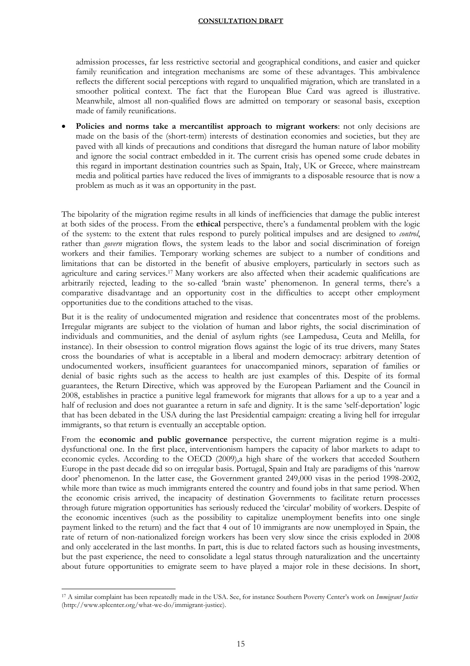admission processes, far less restrictive sectorial and geographical conditions, and easier and quicker family reunification and integration mechanisms are some of these advantages. This ambivalence reflects the different social perceptions with regard to unqualified migration, which are translated in a smoother political context. The fact that the European Blue Card was agreed is illustrative. Meanwhile, almost all non-qualified flows are admitted on temporary or seasonal basis, exception made of family reunifications.

 **Policies and norms take a mercantilist approach to migrant workers**: not only decisions are made on the basis of the (short-term) interests of destination economies and societies, but they are paved with all kinds of precautions and conditions that disregard the human nature of labor mobility and ignore the social contract embedded in it. The current crisis has opened some crude debates in this regard in important destination countries such as Spain, Italy, UK or Greece, where mainstream media and political parties have reduced the lives of immigrants to a disposable resource that is now a problem as much as it was an opportunity in the past.

The bipolarity of the migration regime results in all kinds of inefficiencies that damage the public interest at both sides of the process. From the **ethical** perspective, there's a fundamental problem with the logic of the system: to the extent that rules respond to purely political impulses and are designed to *control*, rather than *govern* migration flows, the system leads to the labor and social discrimination of foreign workers and their families. Temporary working schemes are subject to a number of conditions and limitations that can be distorted in the benefit of abusive employers, particularly in sectors such as agriculture and caring services.<sup>17</sup> Many workers are also affected when their academic qualifications are arbitrarily rejected, leading to the so-called 'brain waste' phenomenon. In general terms, there's a comparative disadvantage and an opportunity cost in the difficulties to accept other employment opportunities due to the conditions attached to the visas.

But it is the reality of undocumented migration and residence that concentrates most of the problems. Irregular migrants are subject to the violation of human and labor rights, the social discrimination of individuals and communities, and the denial of asylum rights (see Lampedusa, Ceuta and Melilla, for instance). In their obsession to control migration flows against the logic of its true drivers, many States cross the boundaries of what is acceptable in a liberal and modern democracy: arbitrary detention of undocumented workers, insufficient guarantees for unaccompanied minors, separation of families or denial of basic rights such as the access to health are just examples of this. Despite of its formal guarantees, the Return Directive, which was approved by the European Parliament and the Council in 2008, establishes in practice a punitive legal framework for migrants that allows for a up to a year and a half of reclusion and does not guarantee a return in safe and dignity. It is the same 'self-deportation' logic that has been debated in the USA during the last Presidential campaign: creating a living hell for irregular immigrants, so that return is eventually an acceptable option.

From the **economic and public governance** perspective, the current migration regime is a multidysfunctional one. In the first place, interventionism hampers the capacity of labor markets to adapt to economic cycles. According to the OECD (2009),a high share of the workers that acceded Southern Europe in the past decade did so on irregular basis. Portugal, Spain and Italy are paradigms of this 'narrow door' phenomenon. In the latter case, the Government granted 249,000 visas in the period 1998-2002, while more than twice as much immigrants entered the country and found jobs in that same period. When the economic crisis arrived, the incapacity of destination Governments to facilitate return processes through future migration opportunities has seriously reduced the 'circular' mobility of workers. Despite of the economic incentives (such as the possibility to capitalize unemployment benefits into one single payment linked to the return) and the fact that 4 out of 10 immigrants are now unemployed in Spain, the rate of return of non-nationalized foreign workers has been very slow since the crisis exploded in 2008 and only accelerated in the last months. In part, this is due to related factors such as housing investments, but the past experience, the need to consolidate a legal status through naturalization and the uncertainty about future opportunities to emigrate seem to have played a major role in these decisions. In short,

<sup>17</sup> A similar complaint has been repeatedly made in the USA. See, for instance Southern Poverty Center's work on *Immigrant Justice* (http://www.splcenter.org/what-we-do/immigrant-justice).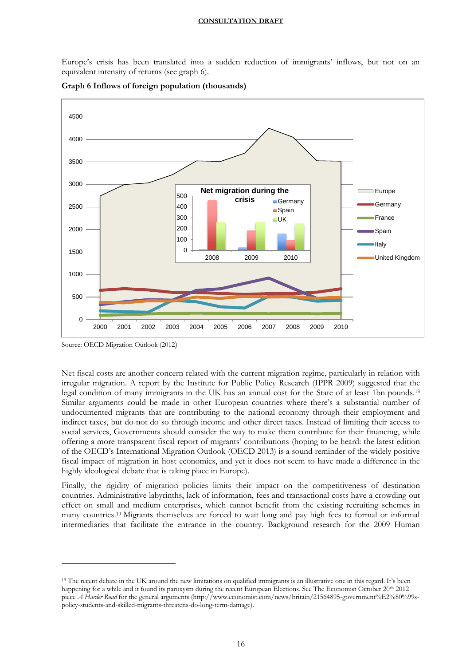Europe's crisis has been translated into a sudden reduction of immigrants' inflows, but not on an equivalent intensity of returns (see graph 6).



**Graph 6 Inflows of foreign population (thousands)**

 $\overline{a}$ 

Net fiscal costs are another concern related with the current migration regime, particularly in relation with irregular migration. A report by the Institute for Public Policy Research (IPPR 2009) suggested that the legal condition of many immigrants in the UK has an annual cost for the State of at least 1bn pounds.<sup>18</sup> Similar arguments could be made in other European countries where there's a substantial number of undocumented migrants that are contributing to the national economy through their employment and indirect taxes, but do not do so through income and other direct taxes. Instead of limiting their access to social services, Governments should consider the way to make them contribute for their financing, while offering a more transparent fiscal report of migrants' contributions (hoping to be heard: the latest edition of the OECD's International Migration Outlook (OECD 2013) is a sound reminder of the widely positive fiscal impact of migration in host economies, and yet it does not seem to have made a difference in the highly ideological debate that is taking place in Europe).

Finally, the rigidity of migration policies limits their impact on the competitiveness of destination countries. Administrative labyrinths, lack of information, fees and transactional costs have a crowding out effect on small and medium enterprises, which cannot benefit from the existing recruiting schemes in many countries.<sup>19</sup> Migrants themselves are forced to wait long and pay high fees to formal or informal intermediaries that facilitate the entrance in the country. Background research for the 2009 Human

Source: OECD Migration Outlook (2012)

<sup>&</sup>lt;sup>19</sup> The recent debate in the UK around the new limitations on qualified immigrants is an illustrative one in this regard. It's been happening for a while and it found its paroxysm during the recent European Elections. See The Economist October 20<sup>th</sup> 2012 piece *A Harder Road* for the general arguments (http://www.economist.com/news/britain/21564895-government%E2%80%99spolicy-students-and-skilled-migrants-threatens-do-long-term-damage).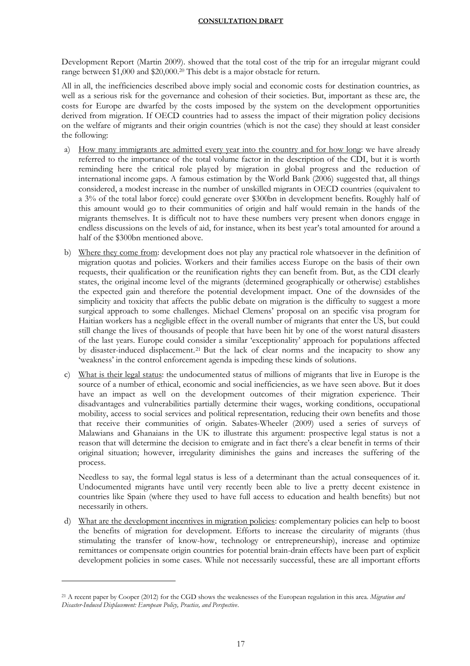Development Report (Martin 2009). showed that the total cost of the trip for an irregular migrant could range between \$1,000 and \$20,000.<sup>20</sup> This debt is a major obstacle for return.

All in all, the inefficiencies described above imply social and economic costs for destination countries, as well as a serious risk for the governance and cohesion of their societies. But, important as these are, the costs for Europe are dwarfed by the costs imposed by the system on the development opportunities derived from migration. If OECD countries had to assess the impact of their migration policy decisions on the welfare of migrants and their origin countries (which is not the case) they should at least consider the following:

- a) How many immigrants are admitted every year into the country and for how long: we have already referred to the importance of the total volume factor in the description of the CDI, but it is worth reminding here the critical role played by migration in global progress and the reduction of international income gaps. A famous estimation by the World Bank (2006) suggested that, all things considered, a modest increase in the number of unskilled migrants in OECD countries (equivalent to a 3% of the total labor force) could generate over \$300bn in development benefits. Roughly half of this amount would go to their communities of origin and half would remain in the hands of the migrants themselves. It is difficult not to have these numbers very present when donors engage in endless discussions on the levels of aid, for instance, when its best year's total amounted for around a half of the \$300bn mentioned above.
- b) Where they come from: development does not play any practical role whatsoever in the definition of migration quotas and policies. Workers and their families access Europe on the basis of their own requests, their qualification or the reunification rights they can benefit from. But, as the CDI clearly states, the original income level of the migrants (determined geographically or otherwise) establishes the expected gain and therefore the potential development impact. One of the downsides of the simplicity and toxicity that affects the public debate on migration is the difficulty to suggest a more surgical approach to some challenges. Michael Clemens' proposal on an specific visa program for Haitian workers has a negligible effect in the overall number of migrants that enter the US, but could still change the lives of thousands of people that have been hit by one of the worst natural disasters of the last years. Europe could consider a similar 'exceptionality' approach for populations affected by disaster-induced displacement. <sup>21</sup> But the lack of clear norms and the incapacity to show any 'weakness' in the control enforcement agenda is impeding these kinds of solutions.
- c) What is their legal status: the undocumented status of millions of migrants that live in Europe is the source of a number of ethical, economic and social inefficiencies, as we have seen above. But it does have an impact as well on the development outcomes of their migration experience. Their disadvantages and vulnerabilities partially determine their wages, working conditions, occupational mobility, access to social services and political representation, reducing their own benefits and those that receive their communities of origin. Sabates-Wheeler (2009) used a series of surveys of Malawians and Ghanaians in the UK to illustrate this argument: prospective legal status is not a reason that will determine the decision to emigrate and in fact there's a clear benefit in terms of their original situation; however, irregularity diminishes the gains and increases the suffering of the process.

Needless to say, the formal legal status is less of a determinant than the actual consequences of it. Undocumented migrants have until very recently been able to live a pretty decent existence in countries like Spain (where they used to have full access to education and health benefits) but not necessarily in others.

d) What are the development incentives in migration policies: complementary policies can help to boost the benefits of migration for development. Efforts to increase the circularity of migrants (thus stimulating the transfer of know-how, technology or entrepreneurship), increase and optimize remittances or compensate origin countries for potential brain-drain effects have been part of explicit development policies in some cases. While not necessarily successful, these are all important efforts

<sup>21</sup> A recent paper by Cooper (2012) for the CGD shows the weaknesses of the European regulation in this area. *Migration and Disaster-Induced Displacement: European Policy, Practice, and Perspective*.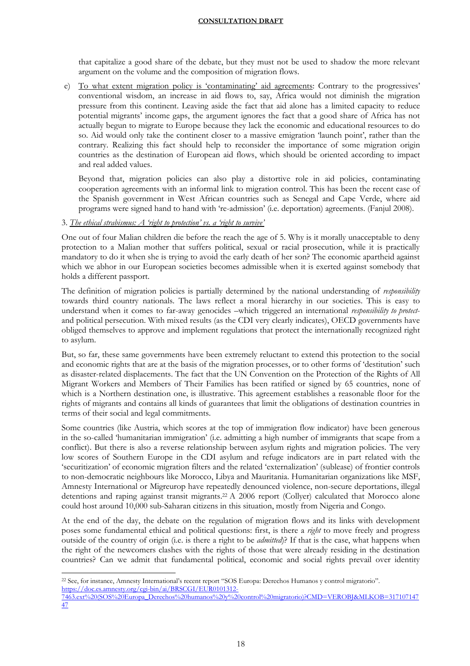that capitalize a good share of the debate, but they must not be used to shadow the more relevant argument on the volume and the composition of migration flows.

e) To what extent migration policy is 'contaminating' aid agreements: Contrary to the progressives' conventional wisdom, an increase in aid flows to, say, Africa would not diminish the migration pressure from this continent. Leaving aside the fact that aid alone has a limited capacity to reduce potential migrants' income gaps, the argument ignores the fact that a good share of Africa has not actually begun to migrate to Europe because they lack the economic and educational resources to do so. Aid would only take the continent closer to a massive emigration 'launch point', rather than the contrary. Realizing this fact should help to reconsider the importance of some migration origin countries as the destination of European aid flows, which should be oriented according to impact and real added values.

Beyond that, migration policies can also play a distortive role in aid policies, contaminating cooperation agreements with an informal link to migration control. This has been the recent case of the Spanish government in West African countries such as Senegal and Cape Verde, where aid programs were signed hand to hand with 're-admission' (i.e. deportation) agreements. (Fanjul 2008).

# 3. *The ethical strabismus: A 'right to protection' vs. a 'right to survive'*

One out of four Malian children die before the reach the age of 5. Why is it morally unacceptable to deny protection to a Malian mother that suffers political, sexual or racial prosecution, while it is practically mandatory to do it when she is trying to avoid the early death of her son? The economic apartheid against which we abhor in our European societies becomes admissible when it is exerted against somebody that holds a different passport.

The definition of migration policies is partially determined by the national understanding of *responsibility*  towards third country nationals. The laws reflect a moral hierarchy in our societies. This is easy to understand when it comes to far-away genocides –which triggered an international *responsibility to protect*and political persecution. With mixed results (as the CDI very clearly indicates), OECD governments have obliged themselves to approve and implement regulations that protect the internationally recognized right to asylum.

But, so far, these same governments have been extremely reluctant to extend this protection to the social and economic rights that are at the basis of the migration processes, or to other forms of 'destitution' such as disaster-related displacements. The fact that the UN Convention on the Protection of the Rights of All Migrant Workers and Members of Their Families has been ratified or signed by 65 countries, none of which is a Northern destination one, is illustrative. This agreement establishes a reasonable floor for the rights of migrants and contains all kinds of guarantees that limit the obligations of destination countries in terms of their social and legal commitments.

Some countries (like Austria, which scores at the top of immigration flow indicator) have been generous in the so-called 'humanitarian immigration' (i.e. admitting a high number of immigrants that scape from a conflict). But there is also a reverse relationship between asylum rights and migration policies. The very low scores of Southern Europe in the CDI asylum and refuge indicators are in part related with the 'securitization' of economic migration filters and the related 'externalization' (sublease) of frontier controls to non-democratic neighbours like Morocco, Libya and Mauritania. Humanitarian organizations like MSF, Amnesty International or Migreurop have repeatedly denounced violence, non-secure deportations, illegal detentions and raping against transit migrants. <sup>22</sup> A 2006 report (Collyer) calculated that Morocco alone could host around 10,000 sub-Saharan citizens in this situation, mostly from Nigeria and Congo.

At the end of the day, the debate on the regulation of migration flows and its links with development poses some fundamental ethical and political questions: first, is there a *right* to move freely and progress outside of the country of origin (i.e. is there a right to be *admitted*)? If that is the case, what happens when the right of the newcomers clashes with the rights of those that were already residing in the destination countries? Can we admit that fundamental political, economic and social rights prevail over identity

 $\overline{a}$ <sup>22</sup> See, for instance, Amnesty International's recent report "SOS Europa: Derechos Humanos y control migratorio". [https://doc.es.amnesty.org/cgi-bin/ai/BRSCGI/EUR0101312-](https://doc.es.amnesty.org/cgi-bin/ai/BRSCGI/EUR0101312-7463.ext%20(SOS%20Europa_Derechos%20humanos%20y%20control%20migratorio)?CMD=VEROBJ&MLKOB=31710714747)

[<sup>7463.</sup>ext%20\(SOS%20Europa\\_Derechos%20humanos%20y%20control%20migratorio\)?CMD=VEROBJ&MLKOB=317107147](https://doc.es.amnesty.org/cgi-bin/ai/BRSCGI/EUR0101312-7463.ext%20(SOS%20Europa_Derechos%20humanos%20y%20control%20migratorio)?CMD=VEROBJ&MLKOB=31710714747) [47](https://doc.es.amnesty.org/cgi-bin/ai/BRSCGI/EUR0101312-7463.ext%20(SOS%20Europa_Derechos%20humanos%20y%20control%20migratorio)?CMD=VEROBJ&MLKOB=31710714747)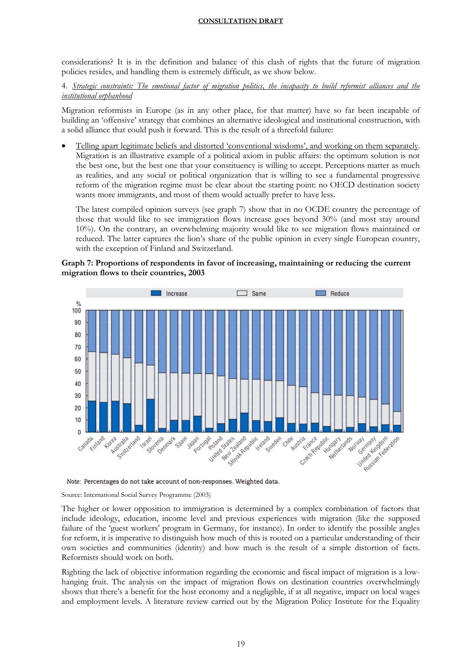considerations? It is in the definition and balance of this clash of rights that the future of migration policies resides, and handling them is extremely difficult, as we show below.

4. *Strategic constraints: The emotional factor of migration politics, the incapacity to build reformist alliances and the institutional orphanhood*

Migration reformists in Europe (as in any other place, for that matter) have so far been incapable of building an 'offensive' strategy that combines an alternative ideological and institutional construction, with a solid alliance that could push it forward. This is the result of a threefold failure:

 Telling apart legitimate beliefs and distorted 'conventional wisdoms', and working on them separately. Migration is an illustrative example of a political axiom in public affairs: the optimum solution is not the best one, but the best one that your constituency is willing to accept. Perceptions matter as much as realities, and any social or political organization that is willing to see a fundamental progressive reform of the migration regime must be clear about the starting point: no OECD destination society wants more immigrants, and most of them would actually prefer to have less.

The latest compiled opinion surveys (see graph 7) show that in no OCDE country the percentage of those that would like to see immigration flows increase goes beyond 30% (and most stay around 10%). On the contrary, an overwhelming majority would like to see migration flows maintained or reduced. The latter captures the lion's share of the public opinion in every single European country, with the exception of Finland and Switzerland.





Note: Percentages do not take account of non-responses. Weighted data.

Source: International Social Survey Programme (2003)

The higher or lower opposition to immigration is determined by a complex combination of factors that include ideology, education, income level and previous experiences with migration (like the supposed failure of the 'guest workers' program in Germany, for instance). In order to identify the possible angles for reform, it is imperative to distinguish how much of this is rooted on a particular understanding of their own societies and communities (identity) and how much is the result of a simple distortion of facts. Reformists should work on both.

Righting the lack of objective information regarding the economic and fiscal impact of migration is a lowhanging fruit. The analysis on the impact of migration flows on destination countries overwhelmingly shows that there's a benefit for the host economy and a negligible, if at all negative, impact on local wages and employment levels. A literature review carried out by the Migration Policy Institute for the Equality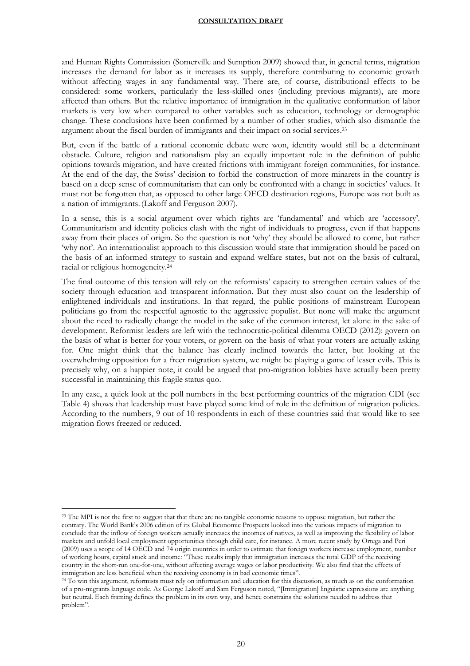and Human Rights Commission (Somerville and Sumption 2009) showed that, in general terms, migration increases the demand for labor as it increases its supply, therefore contributing to economic growth without affecting wages in any fundamental way. There are, of course, distributional effects to be considered: some workers, particularly the less-skilled ones (including previous migrants), are more affected than others. But the relative importance of immigration in the qualitative conformation of labor markets is very low when compared to other variables such as education, technology or demographic change. These conclusions have been confirmed by a number of other studies, which also dismantle the argument about the fiscal burden of immigrants and their impact on social services. 23

But, even if the battle of a rational economic debate were won, identity would still be a determinant obstacle. Culture, religion and nationalism play an equally important role in the definition of public opinions towards migration, and have created frictions with immigrant foreign communities, for instance. At the end of the day, the Swiss' decision to forbid the construction of more minarets in the country is based on a deep sense of communitarism that can only be confronted with a change in societies' values. It must not be forgotten that, as opposed to other large OECD destination regions, Europe was not built as a nation of immigrants. (Lakoff and Ferguson 2007).

In a sense, this is a social argument over which rights are 'fundamental' and which are 'accessory'. Communitarism and identity policies clash with the right of individuals to progress, even if that happens away from their places of origin. So the question is not 'why' they should be allowed to come, but rather 'why not'. An internationalist approach to this discussion would state that immigration should be paced on the basis of an informed strategy to sustain and expand welfare states, but not on the basis of cultural, racial or religious homogeneity.<sup>24</sup>

The final outcome of this tension will rely on the reformists' capacity to strengthen certain values of the society through education and transparent information. But they must also count on the leadership of enlightened individuals and institutions. In that regard, the public positions of mainstream European politicians go from the respectful agnostic to the aggressive populist. But none will make the argument about the need to radically change the model in the sake of the common interest, let alone in the sake of development. Reformist leaders are left with the technocratic-political dilemma OECD (2012): govern on the basis of what is better for your voters, or govern on the basis of what your voters are actually asking for. One might think that the balance has clearly inclined towards the latter, but looking at the overwhelming opposition for a freer migration system, we might be playing a game of lesser evils. This is precisely why, on a happier note, it could be argued that pro-migration lobbies have actually been pretty successful in maintaining this fragile status quo.

In any case, a quick look at the poll numbers in the best performing countries of the migration CDI (see Table 4) shows that leadership must have played some kind of role in the definition of migration policies. According to the numbers, 9 out of 10 respondents in each of these countries said that would like to see migration flows freezed or reduced.

<sup>&</sup>lt;sup>23</sup> The MPI is not the first to suggest that that there are no tangible economic reasons to oppose migration, but rather the contrary. The World Bank's 2006 edition of its Global Economic Prospects looked into the various impacts of migration to conclude that the inflow of foreign workers actually increases the incomes of natives, as well as improving the flexibility of labor markets and unfold local employment opportunities through child care, for instance. A more recent study by Ortega and Peri (2009) uses a scope of 14 OECD and 74 origin countries in order to estimate that foreign workers increase employment, number of working hours, capital stock and income: "These results imply that immigration increases the total GDP of the receiving country in the short-run one-for-one, without affecting average wages or labor productivity. We also find that the effects of immigration are less beneficial when the receiving economy is in bad economic times".

<sup>24</sup> To win this argument, reformists must rely on information and education for this discussion, as much as on the conformation of a pro-migrants language code. As George Lakoff and Sam Ferguson noted, "[Immigration] linguistic expressions are anything but neutral. Each framing defines the problem in its own way, and hence constrains the solutions needed to address that problem".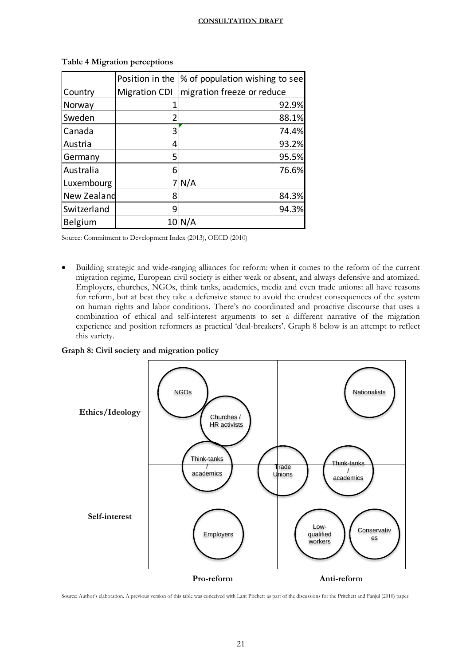|             | Position in the      | % of population wishing to see |
|-------------|----------------------|--------------------------------|
| Country     | <b>Migration CDI</b> | migration freeze or reduce     |
| Norway      |                      | 92.9%                          |
| Sweden      |                      | 88.1%                          |
| Canada      | 3                    | 74.4%                          |
| Austria     | 4                    | 93.2%                          |
| Germany     | 5                    | 95.5%                          |
| Australia   | 6                    | 76.6%                          |
| Luxembourg  |                      | N/A                            |
| New Zealand | 8                    | 84.3%                          |
| Switzerland | q                    | 94.3%                          |
| Belgium     | 10                   |                                |

**Table 4 Migration perceptions**

Source: Commitment to Development Index (2013), OECD (2010)

 Building strategic and wide-ranging alliances for reform: when it comes to the reform of the current migration regime, European civil society is either weak or absent, and always defensive and atomized. Employers, churches, NGOs, think tanks, academics, media and even trade unions: all have reasons for reform, but at best they take a defensive stance to avoid the crudest consequences of the system on human rights and labor conditions. There's no coordinated and proactive discourse that uses a combination of ethical and self-interest arguments to set a different narrative of the migration experience and position reformers as practical 'deal-breakers'. Graph 8 below is an attempt to reflect this variety.

**Graph 8: Civil society and migration policy**



Source: Author's elaboration. A previous version of this table was conceived with Lant Prichett as part of the discussions for the Pritchett and Fanjul (2010) paper.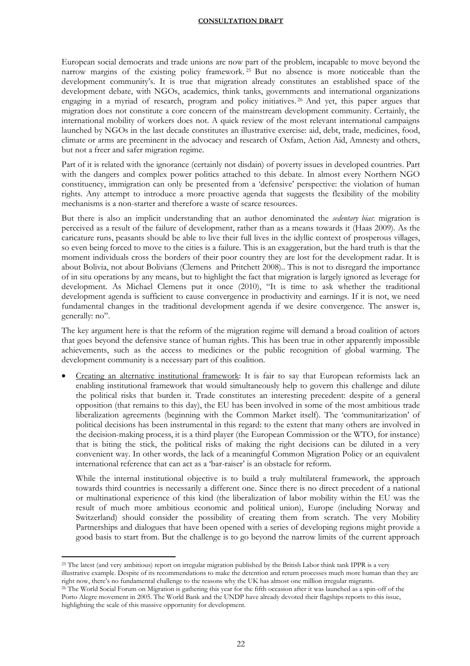European social democrats and trade unions are now part of the problem, incapable to move beyond the narrow margins of the existing policy framework. <sup>25</sup> But no absence is more noticeable than the development community's. It is true that migration already constitutes an established space of the development debate, with NGOs, academics, think tanks, governments and international organizations engaging in a myriad of research, program and policy initiatives. <sup>26</sup> And yet, this paper argues that migration does not constitute a core concern of the mainstream development community. Certainly, the international mobility of workers does not. A quick review of the most relevant international campaigns launched by NGOs in the last decade constitutes an illustrative exercise: aid, debt, trade, medicines, food, climate or arms are preeminent in the advocacy and research of Oxfam, Action Aid, Amnesty and others, but not a freer and safer migration regime.

Part of it is related with the ignorance (certainly not disdain) of poverty issues in developed countries. Part with the dangers and complex power politics attached to this debate. In almost every Northern NGO constituency, immigration can only be presented from a 'defensive' perspective: the violation of human rights. Any attempt to introduce a more proactive agenda that suggests the flexibility of the mobility mechanisms is a non-starter and therefore a waste of scarce resources.

But there is also an implicit understanding that an author denominated the *sedentary bias*: migration is perceived as a result of the failure of development, rather than as a means towards it (Haas 2009). As the caricature runs, peasants should be able to live their full lives in the idyllic context of prosperous villages, so even being forced to move to the cities is a failure. This is an exaggeration, but the hard truth is that the moment individuals cross the borders of their poor country they are lost for the development radar. It is about Bolivia, not about Bolivians (Clemens and Pritchett 2008).. This is not to disregard the importance of in situ operations by any means, but to highlight the fact that migration is largely ignored as leverage for development. As Michael Clemens put it once (2010), "It is time to ask whether the traditional development agenda is sufficient to cause convergence in productivity and earnings. If it is not, we need fundamental changes in the traditional development agenda if we desire convergence. The answer is, generally: no".

The key argument here is that the reform of the migration regime will demand a broad coalition of actors that goes beyond the defensive stance of human rights. This has been true in other apparently impossible achievements, such as the access to medicines or the public recognition of global warming. The development community is a necessary part of this coalition.

 Creating an alternative institutional framework: It is fair to say that European reformists lack an enabling institutional framework that would simultaneously help to govern this challenge and dilute the political risks that burden it. Trade constitutes an interesting precedent: despite of a general opposition (that remains to this day), the EU has been involved in some of the most ambitious trade liberalization agreements (beginning with the Common Market itself). The 'communitarization' of political decisions has been instrumental in this regard: to the extent that many others are involved in the decision-making process, it is a third player (the European Commission or the WTO, for instance) that is biting the stick, the political risks of making the right decisions can be diluted in a very convenient way. In other words, the lack of a meaningful Common Migration Policy or an equivalent international reference that can act as a 'bar-raiser' is an obstacle for reform.

While the internal institutional objective is to build a truly multilateral framework, the approach towards third countries is necessarily a different one. Since there is no direct precedent of a national or multinational experience of this kind (the liberalization of labor mobility within the EU was the result of much more ambitious economic and political union), Europe (including Norway and Switzerland) should consider the possibility of creating them from scratch. The very Mobility Partnerships and dialogues that have been opened with a series of developing regions might provide a good basis to start from. But the challenge is to go beyond the narrow limits of the current approach

<sup>25</sup> The latest (and very ambitious) report on irregular migration published by the British Labor think tank IPPR is a very illustrative example. Despite of its recommendations to make the detention and return processes much more human than they are right now, there's no fundamental challenge to the reasons why the UK has almost one million irregular migrants.

<sup>26</sup> The World Social Forum on Migration is gathering this year for the fifth occasion after it was launched as a spin-off of the Porto Alegre movement in 2005. The World Bank and the UNDP have already devoted their flagships reports to this issue, highlighting the scale of this massive opportunity for development.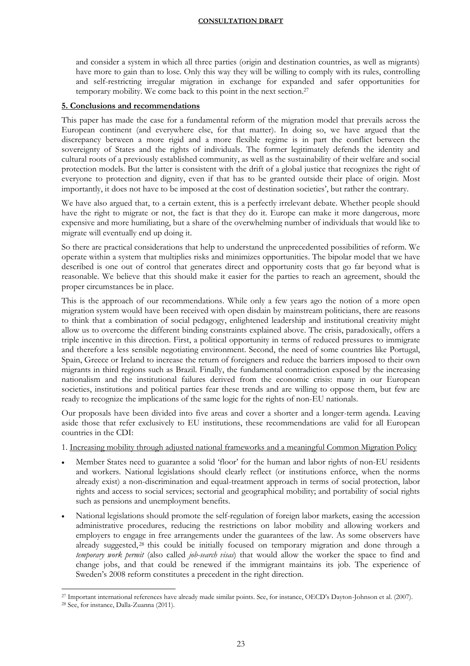and consider a system in which all three parties (origin and destination countries, as well as migrants) have more to gain than to lose. Only this way they will be willing to comply with its rules, controlling and self-restricting irregular migration in exchange for expanded and safer opportunities for temporary mobility. We come back to this point in the next section.<sup>27</sup>

# **5. Conclusions and recommendations**

This paper has made the case for a fundamental reform of the migration model that prevails across the European continent (and everywhere else, for that matter). In doing so, we have argued that the discrepancy between a more rigid and a more flexible regime is in part the conflict between the sovereignty of States and the rights of individuals. The former legitimately defends the identity and cultural roots of a previously established community, as well as the sustainability of their welfare and social protection models. But the latter is consistent with the drift of a global justice that recognizes the right of everyone to protection and dignity, even if that has to be granted outside their place of origin. Most importantly, it does not have to be imposed at the cost of destination societies', but rather the contrary.

We have also argued that, to a certain extent, this is a perfectly irrelevant debate. Whether people should have the right to migrate or not, the fact is that they do it. Europe can make it more dangerous, more expensive and more humiliating, but a share of the overwhelming number of individuals that would like to migrate will eventually end up doing it.

So there are practical considerations that help to understand the unprecedented possibilities of reform. We operate within a system that multiplies risks and minimizes opportunities. The bipolar model that we have described is one out of control that generates direct and opportunity costs that go far beyond what is reasonable. We believe that this should make it easier for the parties to reach an agreement, should the proper circumstances be in place.

This is the approach of our recommendations. While only a few years ago the notion of a more open migration system would have been received with open disdain by mainstream politicians, there are reasons to think that a combination of social pedagogy, enlightened leadership and institutional creativity might allow us to overcome the different binding constraints explained above. The crisis, paradoxically, offers a triple incentive in this direction. First, a political opportunity in terms of reduced pressures to immigrate and therefore a less sensible negotiating environment. Second, the need of some countries like Portugal, Spain, Greece or Ireland to increase the return of foreigners and reduce the barriers imposed to their own migrants in third regions such as Brazil. Finally, the fundamental contradiction exposed by the increasing nationalism and the institutional failures derived from the economic crisis: many in our European societies, institutions and political parties fear these trends and are willing to oppose them, but few are ready to recognize the implications of the same logic for the rights of non-EU nationals.

Our proposals have been divided into five areas and cover a shorter and a longer-term agenda. Leaving aside those that refer exclusively to EU institutions, these recommendations are valid for all European countries in the CDI:

1. Increasing mobility through adjusted national frameworks and a meaningful Common Migration Policy

- Member States need to guarantee a solid 'floor' for the human and labor rights of non-EU residents and workers. National legislations should clearly reflect (or institutions enforce, when the norms already exist) a non-discrimination and equal-treatment approach in terms of social protection, labor rights and access to social services; sectorial and geographical mobility; and portability of social rights such as pensions and unemployment benefits.
- National legislations should promote the self-regulation of foreign labor markets, easing the accession administrative procedures, reducing the restrictions on labor mobility and allowing workers and employers to engage in free arrangements under the guarantees of the law. As some observers have already suggested, <sup>28</sup> this could be initially focused on temporary migration and done through a *temporary work permit* (also called *job-search visas*) that would allow the worker the space to find and change jobs, and that could be renewed if the immigrant maintains its job. The experience of Sweden's 2008 reform constitutes a precedent in the right direction.

 $\overline{a}$ <sup>27</sup> Important international references have already made similar points. See, for instance, OECD's Dayton-Johnson et al. (2007).

<sup>28</sup> See, for instance, Dalla-Zuanna (2011).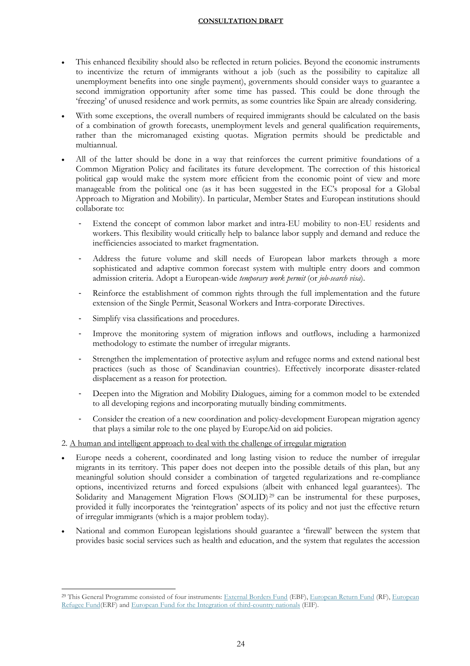- This enhanced flexibility should also be reflected in return policies. Beyond the economic instruments to incentivize the return of immigrants without a job (such as the possibility to capitalize all unemployment benefits into one single payment), governments should consider ways to guarantee a second immigration opportunity after some time has passed. This could be done through the 'freezing' of unused residence and work permits, as some countries like Spain are already considering.
- With some exceptions, the overall numbers of required immigrants should be calculated on the basis of a combination of growth forecasts, unemployment levels and general qualification requirements, rather than the micromanaged existing quotas. Migration permits should be predictable and multiannual.
- All of the latter should be done in a way that reinforces the current primitive foundations of a Common Migration Policy and facilitates its future development. The correction of this historical political gap would make the system more efficient from the economic point of view and more manageable from the political one (as it has been suggested in the EC's proposal for a Global Approach to Migration and Mobility). In particular, Member States and European institutions should collaborate to:
	- Extend the concept of common labor market and intra-EU mobility to non-EU residents and workers. This flexibility would critically help to balance labor supply and demand and reduce the inefficiencies associated to market fragmentation.
	- Address the future volume and skill needs of European labor markets through a more sophisticated and adaptive common forecast system with multiple entry doors and common admission criteria. Adopt a European-wide *temporary work permit* (or *job-search visa*).
	- Reinforce the establishment of common rights through the full implementation and the future extension of the Single Permit, Seasonal Workers and Intra-corporate Directives.
	- Simplify visa classifications and procedures.
	- Improve the monitoring system of migration inflows and outflows, including a harmonized methodology to estimate the number of irregular migrants.
	- Strengthen the implementation of protective asylum and refugee norms and extend national best practices (such as those of Scandinavian countries). Effectively incorporate disaster-related displacement as a reason for protection.
	- Deepen into the Migration and Mobility Dialogues, aiming for a common model to be extended to all developing regions and incorporating mutually binding commitments.
	- Consider the creation of a new coordination and policy-development European migration agency that plays a similar role to the one played by EuropeAid on aid policies.
- 2. A human and intelligent approach to deal with the challenge of irregular migration
- Europe needs a coherent, coordinated and long lasting vision to reduce the number of irregular migrants in its territory. This paper does not deepen into the possible details of this plan, but any meaningful solution should consider a combination of targeted regularizations and re-compliance options, incentivized returns and forced expulsions (albeit with enhanced legal guarantees). The Solidarity and Management Migration Flows (SOLID)<sup>29</sup> can be instrumental for these purposes, provided it fully incorporates the 'reintegration' aspects of its policy and not just the effective return of irregular immigrants (which is a major problem today).
- National and common European legislations should guarantee a 'firewall' between the system that provides basic social services such as health and education, and the system that regulates the accession

 $\overline{a}$ <sup>29</sup> This General Programme consisted of four instruments: [External Borders Fund](http://ec.europa.eu/dgs/home-affairs/financing/fundings/migration-asylum-borders/external-borders-fund/index_en.htm) (EBF), [European Return Fund](http://ec.europa.eu/dgs/home-affairs/financing/fundings/migration-asylum-borders/return-fund/index_en.htm) (RF), European [Refugee Fund\(](http://ec.europa.eu/dgs/home-affairs/financing/fundings/migration-asylum-borders/refugee-fund/index_en.htm)ERF) and [European Fund for the Integration](http://ec.europa.eu/dgs/home-affairs/financing/fundings/migration-asylum-borders/integration-fund/index_en.htm) of third-country nationals (EIF).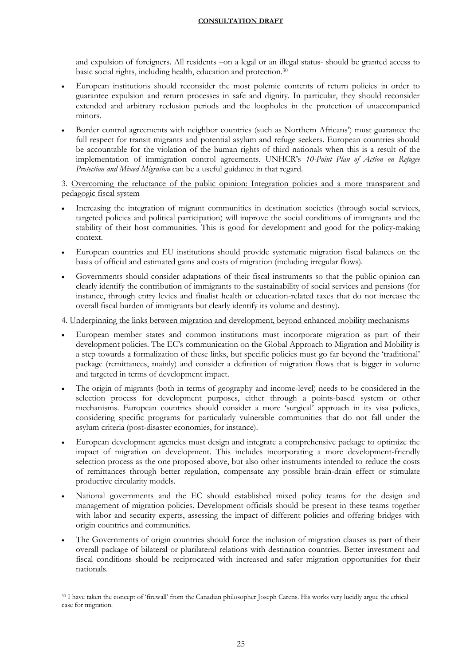and expulsion of foreigners. All residents –on a legal or an illegal status- should be granted access to basic social rights, including health, education and protection.<sup>30</sup>

- European institutions should reconsider the most polemic contents of return policies in order to guarantee expulsion and return processes in safe and dignity. In particular, they should reconsider extended and arbitrary reclusion periods and the loopholes in the protection of unaccompanied minors.
- Border control agreements with neighbor countries (such as Northern Africans') must guarantee the full respect for transit migrants and potential asylum and refuge seekers. European countries should be accountable for the violation of the human rights of third nationals when this is a result of the implementation of immigration control agreements. UNHCR's *10-Point Plan of Action on Refugee Protection and Mixed Migration* can be a useful guidance in that regard.

3. Overcoming the reluctance of the public opinion: Integration policies and a more transparent and pedagogic fiscal system

- Increasing the integration of migrant communities in destination societies (through social services, targeted policies and political participation) will improve the social conditions of immigrants and the stability of their host communities. This is good for development and good for the policy-making context.
- European countries and EU institutions should provide systematic migration fiscal balances on the basis of official and estimated gains and costs of migration (including irregular flows).
- Governments should consider adaptations of their fiscal instruments so that the public opinion can clearly identify the contribution of immigrants to the sustainability of social services and pensions (for instance, through entry levies and finalist health or education-related taxes that do not increase the overall fiscal burden of immigrants but clearly identify its volume and destiny).

4. Underpinning the links between migration and development, beyond enhanced mobility mechanisms

- European member states and common institutions must incorporate migration as part of their development policies. The EC's communication on the Global Approach to Migration and Mobility is a step towards a formalization of these links, but specific policies must go far beyond the 'traditional' package (remittances, mainly) and consider a definition of migration flows that is bigger in volume and targeted in terms of development impact.
- The origin of migrants (both in terms of geography and income-level) needs to be considered in the selection process for development purposes, either through a points-based system or other mechanisms. European countries should consider a more 'surgical' approach in its visa policies, considering specific programs for particularly vulnerable communities that do not fall under the asylum criteria (post-disaster economies, for instance).
- European development agencies must design and integrate a comprehensive package to optimize the impact of migration on development. This includes incorporating a more development-friendly selection process as the one proposed above, but also other instruments intended to reduce the costs of remittances through better regulation, compensate any possible brain-drain effect or stimulate productive circularity models.
- National governments and the EC should established mixed policy teams for the design and management of migration policies. Development officials should be present in these teams together with labor and security experts, assessing the impact of different policies and offering bridges with origin countries and communities.
- The Governments of origin countries should force the inclusion of migration clauses as part of their overall package of bilateral or plurilateral relations with destination countries. Better investment and fiscal conditions should be reciprocated with increased and safer migration opportunities for their nationals.

 $\overline{a}$ <sup>30</sup> I have taken the concept of 'firewall' from the Canadian philosopher Joseph Carens. His works very lucidly argue the ethical case for migration.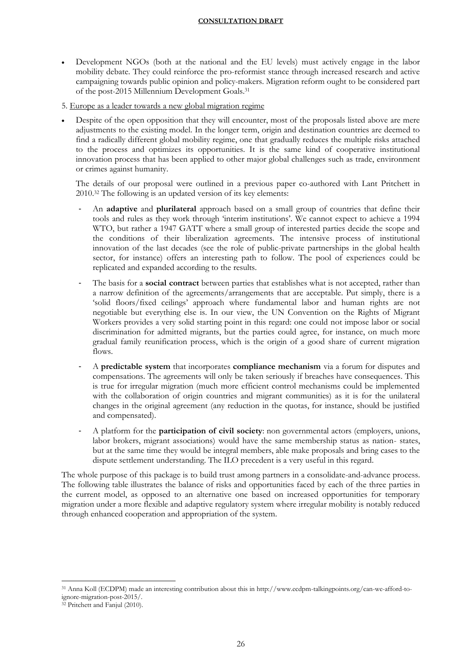- Development NGOs (both at the national and the EU levels) must actively engage in the labor mobility debate. They could reinforce the pro-reformist stance through increased research and active campaigning towards public opinion and policy-makers. Migration reform ought to be considered part of the post-2015 Millennium Development Goals.<sup>31</sup>
- 5. Europe as a leader towards a new global migration regime
- Despite of the open opposition that they will encounter, most of the proposals listed above are mere adjustments to the existing model. In the longer term, origin and destination countries are deemed to find a radically different global mobility regime, one that gradually reduces the multiple risks attached to the process and optimizes its opportunities. It is the same kind of cooperative institutional innovation process that has been applied to other major global challenges such as trade, environment or crimes against humanity.

The details of our proposal were outlined in a previous paper co-authored with Lant Pritchett in 2010. <sup>32</sup> The following is an updated version of its key elements:

- An **adaptive** and **plurilateral** approach based on a small group of countries that define their tools and rules as they work through 'interim institutions'. We cannot expect to achieve a 1994 WTO, but rather a 1947 GATT where a small group of interested parties decide the scope and the conditions of their liberalization agreements. The intensive process of institutional innovation of the last decades (see the role of public-private partnerships in the global health sector, for instance) offers an interesting path to follow. The pool of experiences could be replicated and expanded according to the results.
- The basis for a **social contract** between parties that establishes what is not accepted, rather than a narrow definition of the agreements/arrangements that are acceptable. Put simply, there is a 'solid floors/fixed ceilings' approach where fundamental labor and human rights are not negotiable but everything else is. In our view, the UN Convention on the Rights of Migrant Workers provides a very solid starting point in this regard: one could not impose labor or social discrimination for admitted migrants, but the parties could agree, for instance, on much more gradual family reunification process, which is the origin of a good share of current migration flows.
- A **predictable system** that incorporates **compliance mechanism** via a forum for disputes and compensations. The agreements will only be taken seriously if breaches have consequences. This is true for irregular migration (much more efficient control mechanisms could be implemented with the collaboration of origin countries and migrant communities) as it is for the unilateral changes in the original agreement (any reduction in the quotas, for instance, should be justified and compensated).
- A platform for the **participation of civil society**: non governmental actors (employers, unions, labor brokers, migrant associations) would have the same membership status as nation- states, but at the same time they would be integral members, able make proposals and bring cases to the dispute settlement understanding. The ILO precedent is a very useful in this regard.

The whole purpose of this package is to build trust among partners in a consolidate-and-advance process. The following table illustrates the balance of risks and opportunities faced by each of the three parties in the current model, as opposed to an alternative one based on increased opportunities for temporary migration under a more flexible and adaptive regulatory system where irregular mobility is notably reduced through enhanced cooperation and appropriation of the system.

<sup>31</sup> Anna Koll (ECDPM) made an interesting contribution about this in http://www.ecdpm-talkingpoints.org/can-we-afford-toignore-migration-post-2015/.

<sup>32</sup> Pritchett and Fanjul (2010).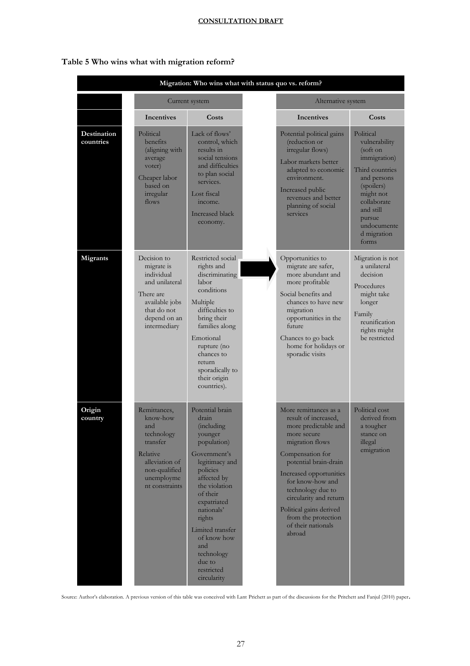| Table 5 Who wins what with migration reform? |  |  |  |
|----------------------------------------------|--|--|--|
|----------------------------------------------|--|--|--|

| Migration: Who wins what with status quo vs. reform? |                                                                                                                                          |                                                                                                                                                                                                                                                                                                          |  |                                                                                                                                                                                                                                                                                                                                      |                                                                                                                                                                                                  |  |
|------------------------------------------------------|------------------------------------------------------------------------------------------------------------------------------------------|----------------------------------------------------------------------------------------------------------------------------------------------------------------------------------------------------------------------------------------------------------------------------------------------------------|--|--------------------------------------------------------------------------------------------------------------------------------------------------------------------------------------------------------------------------------------------------------------------------------------------------------------------------------------|--------------------------------------------------------------------------------------------------------------------------------------------------------------------------------------------------|--|
|                                                      |                                                                                                                                          | Current system                                                                                                                                                                                                                                                                                           |  | Alternative system                                                                                                                                                                                                                                                                                                                   |                                                                                                                                                                                                  |  |
|                                                      | <b>Incentives</b>                                                                                                                        | Costs                                                                                                                                                                                                                                                                                                    |  | <b>Incentives</b>                                                                                                                                                                                                                                                                                                                    | Costs                                                                                                                                                                                            |  |
| Destination<br>countries                             | Political<br>benefits<br>(aligning with<br>average<br>voter)<br>Cheaper labor<br>based on<br>irregular<br>flows                          | Lack of flows'<br>control, which<br>results in<br>social tensions<br>and difficulties<br>to plan social<br>services.<br>Lost fiscal<br>income.<br>Increased black<br>economy.                                                                                                                            |  | Potential political gains<br>(reduction or<br>irregular flows)<br>Labor markets better<br>adapted to economic<br>environment.<br>Increased public<br>revenues and better<br>planning of social<br>services                                                                                                                           | Political<br>vulnerability<br>(soft on<br>immigration)<br>Third countries<br>and persons<br>(spoilers)<br>might not<br>collaborate<br>and still<br>pursue<br>undocumente<br>d migration<br>forms |  |
| <b>Migrants</b>                                      | Decision to<br>migrate is<br>individual<br>and unilateral<br>There are<br>available jobs<br>that do not<br>depend on an<br>intermediary  | Restricted social<br>rights and<br>discriminating<br>labor<br>conditions<br>Multiple<br>difficulties to<br>bring their<br>families along<br>Emotional<br>rupture (no<br>chances to<br>return<br>sporadically to<br>their origin<br>countries).                                                           |  | Opportunities to<br>migrate are safer,<br>more abundant and<br>more profitable<br>Social benefits and<br>chances to have new<br>migration<br>opportunities in the<br>future<br>Chances to go back<br>home for holidays or<br>sporadic visits                                                                                         | Migration is not<br>a unilateral<br>decision<br>Procedures<br>might take<br>longer<br>Family<br>reunification<br>rights might<br>be restricted                                                   |  |
| Origin<br>country                                    | Remittances,<br>know-how<br>and<br>technology<br>transfer<br>Relative<br>alleviation of<br>non-qualified<br>unemployme<br>nt constraints | Potential brain<br>drain<br><i>(including)</i><br>younger<br>population)<br>Government's<br>legitimacy and<br>policies<br>affected by<br>the violation<br>of their<br>expatriated<br>nationals'<br>rights<br>Limited transfer<br>of know how<br>and<br>technology<br>due to<br>restricted<br>circularity |  | More remittances as a<br>result of increased,<br>more predictable and<br>more secure<br>migration flows<br>Compensation for<br>potential brain-drain<br>Increased opportunities<br>for know-how and<br>technology due to<br>circularity and return<br>Political gains derived<br>from the protection<br>of their nationals<br>abroad | Political cost<br>derived from<br>a tougher<br>stance on<br>illegal<br>emigration                                                                                                                |  |

Source: Author's elaboration. A previous version of this table was conceived with Lant Prichett as part of the discussions for the Pritchett and Fanjul (2010) paper.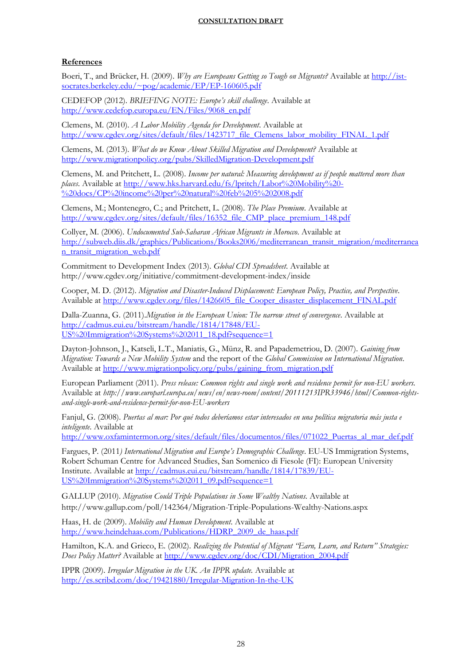# **References**

Boeri, T., and Brücker, H. (2009). *Why are Europeans Getting so Tough on Migrants?* Available at [http://ist](http://ist-socrates.berkeley.edu/~pog/academic/EP/EP-160605.pdf)[socrates.berkeley.edu/~pog/academic/EP/EP-160605.pdf](http://ist-socrates.berkeley.edu/~pog/academic/EP/EP-160605.pdf)

CEDEFOP (2012). *BRIEFING NOTE: Europe's skill challenge*. Available at [http://www.cedefop.europa.eu/EN/Files/9068\\_en.pdf](http://www.cedefop.europa.eu/EN/Files/9068_en.pdf)

Clemens, M. (2010). *A Labor Mobility Agenda for Development*. Available at [http://www.cgdev.org/sites/default/files/1423717\\_file\\_Clemens\\_labor\\_mobility\\_FINAL\\_1.pdf](http://www.cgdev.org/sites/default/files/1423717_file_Clemens_labor_mobility_FINAL_1.pdf)

Clemens, M. (2013). *What do we Know About Skilled Migration and Development?* Available at <http://www.migrationpolicy.org/pubs/SkilledMigration-Development.pdf>

Clemens, M. and Pritchett, L. (2008). *Income per natural: Measuring development as if people mattered more than places*. Available at [http://www.hks.harvard.edu/fs/lpritch/Labor%20Mobility%20-](http://www.hks.harvard.edu/fs/lpritch/Labor%20Mobility%20-%20docs/CP%20income%20per%20natural%20feb%205%202008.pdf) [%20docs/CP%20income%20per%20natural%20feb%205%202008.pdf](http://www.hks.harvard.edu/fs/lpritch/Labor%20Mobility%20-%20docs/CP%20income%20per%20natural%20feb%205%202008.pdf)

Clemens, M.; Montenegro, C.; and Pritchett, L. (2008). *The Place Premium*. Available at [http://www.cgdev.org/sites/default/files/16352\\_file\\_CMP\\_place\\_premium\\_148.pdf](http://www.cgdev.org/sites/default/files/16352_file_CMP_place_premium_148.pdf)

Collyer, M. (2006). *Undocumented Sub-Saharan African Migrants in Morocco*. Available at [http://subweb.diis.dk/graphics/Publications/Books2006/mediterranean\\_transit\\_migration/mediterranea](http://subweb.diis.dk/graphics/Publications/Books2006/mediterranean_transit_migration/mediterranean_transit_migration_web.pdf) [n\\_transit\\_migration\\_web.pdf](http://subweb.diis.dk/graphics/Publications/Books2006/mediterranean_transit_migration/mediterranean_transit_migration_web.pdf)

Commitment to Development Index (2013). *Global CDI Spreadsheet*. Available at http://www.cgdev.org/initiative/commitment-development-index/inside

Cooper, M. D. (2012). *Migration and Disaster-Induced Displacement: European Policy, Practice, and Perspective*. Available at [http://www.cgdev.org/files/1426605\\_file\\_Cooper\\_disaster\\_displacement\\_FINAL.pdf](http://www.cgdev.org/files/1426605_file_Cooper_disaster_displacement_FINAL.pdf)

Dalla-Zuanna, G. (2011).*Migration in the European Union: The narrow street of convergence*. Available at [http://cadmus.eui.eu/bitstream/handle/1814/17848/EU-](http://cadmus.eui.eu/bitstream/handle/1814/17848/EU-US%20Immigration%20Systems%202011_18.pdf?sequence=1)[US%20Immigration%20Systems%202011\\_18.pdf?sequence=1](http://cadmus.eui.eu/bitstream/handle/1814/17848/EU-US%20Immigration%20Systems%202011_18.pdf?sequence=1)

Dayton-Johnson, J., Katseli, L.T., Maniatis, G., Münz, R. and Papademetriou, D. (2007). *Gaining from Migration: Towards a New Mobility System* and the report of the *Global Commission on International Migration*. Available at [http://www.migrationpolicy.org/pubs/gaining\\_from\\_migration.pdf](http://www.migrationpolicy.org/pubs/gaining_from_migration.pdf)

European Parliament (2011). *Press release: Common rights and single work and residence permit for non-EU workers.*  Available at *http://www.europarl.europa.eu/news/en/news-room/content/20111213IPR33946/html/Common-rightsand-single-work-and-residence-permit-for-non-EU-workers*

Fanjul, G. (2008). *Puertas al mar: Por qué todos deberíamos estar interesados en una política migratoria más justa e inteligente*. Available at

[http://www.oxfamintermon.org/sites/default/files/documentos/files/071022\\_Puertas\\_al\\_mar\\_def.pdf](http://www.oxfamintermon.org/sites/default/files/documentos/files/071022_Puertas_al_mar_def.pdf)

Fargues, P. (2011*) International Migration and Europe's Demographic Challenge*. EU-US Immigration Systems, Robert Schuman Centre for Advanced Studies, San Somenico di Fiesole (FI): European University Institute. Available at [http://cadmus.eui.eu/bitstream/handle/1814/17839/EU-](http://cadmus.eui.eu/bitstream/handle/1814/17839/EU-US%20Immigration%20Systems%202011_09.pdf?sequence=1)[US%20Immigration%20Systems%202011\\_09.pdf?sequence=1](http://cadmus.eui.eu/bitstream/handle/1814/17839/EU-US%20Immigration%20Systems%202011_09.pdf?sequence=1)

GALLUP (2010). *Migration Could Triple Populations in Some Wealthy Nations.* Available at http://www.gallup.com/poll/142364/Migration-Triple-Populations-Wealthy-Nations.aspx

Haas, H. de (2009). *Mobility and Human Development*. Available at [http://www.heindehaas.com/Publications/HDRP\\_2009\\_de\\_haas.pdf](http://www.heindehaas.com/Publications/HDRP_2009_de_haas.pdf)

Hamilton, K.A. and Grieco, E. (2002). *Realizing the Potential of Migrant "Earn, Learn, and Return" Strategies: Does Policy Matter?* Available at [http://www.cgdev.org/doc/CDI/Migration\\_2004.pdf](http://www.cgdev.org/doc/CDI/Migration_2004.pdf)

IPPR (2009). *Irregular Migration in the UK. An IPPR update.* Available at <http://es.scribd.com/doc/19421880/Irregular-Migration-In-the-UK>